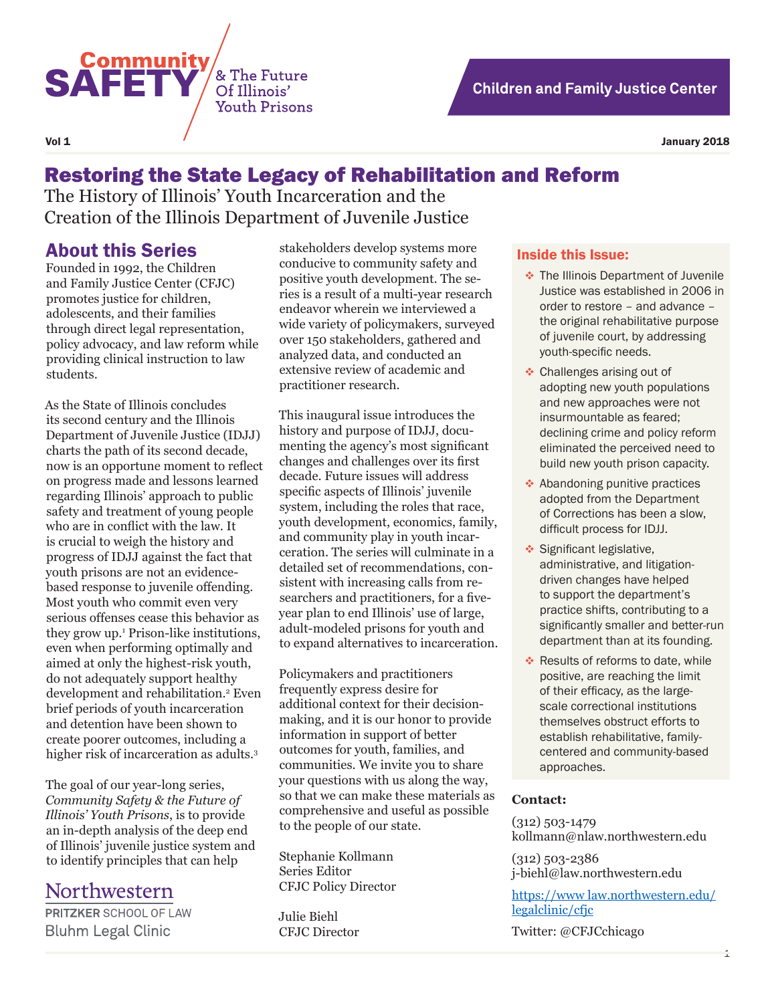

# Restoring the State Legacy of Rehabilitation and Reform

The History of Illinois' Youth Incarceration and the Creation of the Illinois Department of Juvenile Justice

& The Future

Of Illinois' **Youth Prisons** 

### About this Series

**SAFETY** 

Founded in 1992, the Children and Family Justice Center (CFJC) promotes justice for children, adolescents, and their families through direct legal representation, policy advocacy, and law reform while providing clinical instruction to law students.

As the State of Illinois concludes its second century and the Illinois Department of Juvenile Justice (IDJJ) charts the path of its second decade, now is an opportune moment to reflect on progress made and lessons learned regarding Illinois' approach to public safety and treatment of young people who are in conflict with the law. It is crucial to weigh the history and progress of IDJJ against the fact that youth prisons are not an evidencebased response to juvenile offending. Most youth who commit even very serious offenses cease this behavior as they grow up.1 Prison-like institutions, even when performing optimally and aimed at only the highest-risk youth, do not adequately support healthy development and rehabilitation.<sup>2</sup> Even brief periods of youth incarceration and detention have been shown to create poorer outcomes, including a higher risk of incarceration as adults.3

The goal of our year-long series, *Community Safety & the Future of Illinois' Youth Prisons*, is to provide an in-depth analysis of the deep end of Illinois' juvenile justice system and to identify principles that can help

## Northwestern

PRITZKER SCHOOL OF LAW **Bluhm Legal Clinic** 

stakeholders develop systems more conducive to community safety and positive youth development. The series is a result of a multi-year research endeavor wherein we interviewed a wide variety of policymakers, surveyed over 150 stakeholders, gathered and analyzed data, and conducted an extensive review of academic and practitioner research.

This inaugural issue introduces the history and purpose of IDJJ, documenting the agency's most significant changes and challenges over its first decade. Future issues will address specific aspects of Illinois' juvenile system, including the roles that race, youth development, economics, family, and community play in youth incarceration. The series will culminate in a detailed set of recommendations, consistent with increasing calls from researchers and practitioners, for a fiveyear plan to end Illinois' use of large, adult-modeled prisons for youth and to expand alternatives to incarceration.

Policymakers and practitioners frequently express desire for additional context for their decisionmaking, and it is our honor to provide information in support of better outcomes for youth, families, and communities. We invite you to share your questions with us along the way, so that we can make these materials as comprehensive and useful as possible to the people of our state.

Stephanie Kollmann Series Editor CFJC Policy Director

Julie Biehl CFJC Director

#### Inside this Issue:

- $\cdot$  The Illinois Department of Juvenile Justice was established in 2006 in order to restore – and advance – the original rehabilitative purpose of juvenile court, by addressing youth-specific needs.
- ◆ Challenges arising out of adopting new youth populations and new approaches were not insurmountable as feared; declining crime and policy reform eliminated the perceived need to build new youth prison capacity.
- **↑ Abandoning punitive practices** adopted from the Department of Corrections has been a slow, difficult process for IDJJ.
- Significant legislative, administrative, and litigationdriven changes have helped to support the department's practice shifts, contributing to a significantly smaller and better-run department than at its founding.
- ◆ Results of reforms to date, while positive, are reaching the limit of their efficacy, as the largescale correctional institutions themselves obstruct efforts to establish rehabilitative, familycentered and community-based approaches.

#### **Contact:**

(312) 503-1479 kollmann@nlaw.northwestern.edu

(312) 503-2386 j-biehl@law.northwestern.edu

https://www law.northwestern.edu/ legalclinic/cfjc

Twitter: @CFJCchicago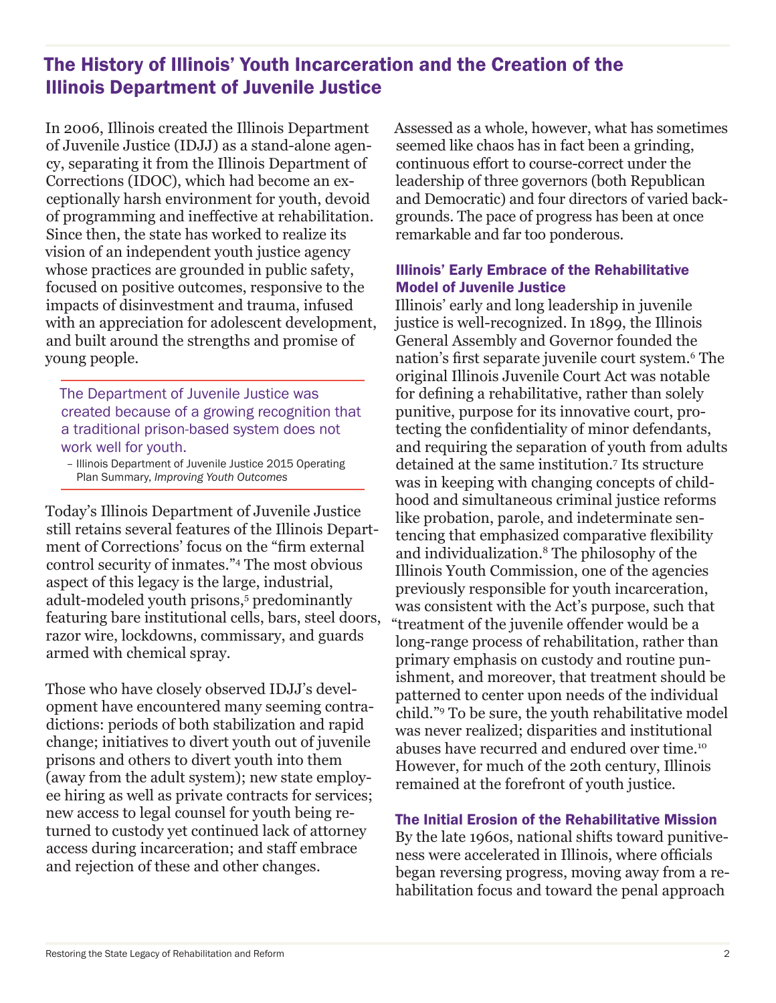## The History of Illinois' Youth Incarceration and the Creation of the Illinois Department of Juvenile Justice

In 2006, Illinois created the Illinois Department of Juvenile Justice (IDJJ) as a stand-alone agency, separating it from the Illinois Department of Corrections (IDOC), which had become an exceptionally harsh environment for youth, devoid of programming and ineffective at rehabilitation. Since then, the state has worked to realize its vision of an independent youth justice agency whose practices are grounded in public safety, focused on positive outcomes, responsive to the impacts of disinvestment and trauma, infused with an appreciation for adolescent development, and built around the strengths and promise of young people.

The Department of Juvenile Justice was created because of a growing recognition that a traditional prison-based system does not work well for youth.

– Illinois Department of Juvenile Justice 2015 Operating Plan Summary, *Improving Youth Outcomes* 

Today's Illinois Department of Juvenile Justice still retains several features of the Illinois Department of Corrections' focus on the "firm external control security of inmates."4 The most obvious aspect of this legacy is the large, industrial, adult-modeled youth prisons,<sup>5</sup> predominantly featuring bare institutional cells, bars, steel doors, razor wire, lockdowns, commissary, and guards armed with chemical spray.

Those who have closely observed IDJJ's development have encountered many seeming contradictions: periods of both stabilization and rapid change; initiatives to divert youth out of juvenile prisons and others to divert youth into them (away from the adult system); new state employee hiring as well as private contracts for services; new access to legal counsel for youth being returned to custody yet continued lack of attorney access during incarceration; and staff embrace and rejection of these and other changes.

Assessed as a whole, however, what has sometimes seemed like chaos has in fact been a grinding, continuous effort to course-correct under the leadership of three governors (both Republican and Democratic) and four directors of varied backgrounds. The pace of progress has been at once remarkable and far too ponderous.

### Illinois' Early Embrace of the Rehabilitative Model of Juvenile Justice

Illinois' early and long leadership in juvenile justice is well-recognized. In 1899, the Illinois General Assembly and Governor founded the nation's first separate juvenile court system.<sup>6</sup> The original Illinois Juvenile Court Act was notable for defining a rehabilitative, rather than solely punitive, purpose for its innovative court, protecting the confidentiality of minor defendants, and requiring the separation of youth from adults detained at the same institution.7 Its structure was in keeping with changing concepts of childhood and simultaneous criminal justice reforms like probation, parole, and indeterminate sentencing that emphasized comparative flexibility and individualization.8 The philosophy of the Illinois Youth Commission, one of the agencies previously responsible for youth incarceration, was consistent with the Act's purpose, such that "treatment of the juvenile offender would be a long-range process of rehabilitation, rather than primary emphasis on custody and routine punishment, and moreover, that treatment should be patterned to center upon needs of the individual child."9 To be sure, the youth rehabilitative model was never realized; disparities and institutional abuses have recurred and endured over time.10 However, for much of the 20th century, Illinois remained at the forefront of youth justice.

#### The Initial Erosion of the Rehabilitative Mission

By the late 1960s, national shifts toward punitiveness were accelerated in Illinois, where officials began reversing progress, moving away from a rehabilitation focus and toward the penal approach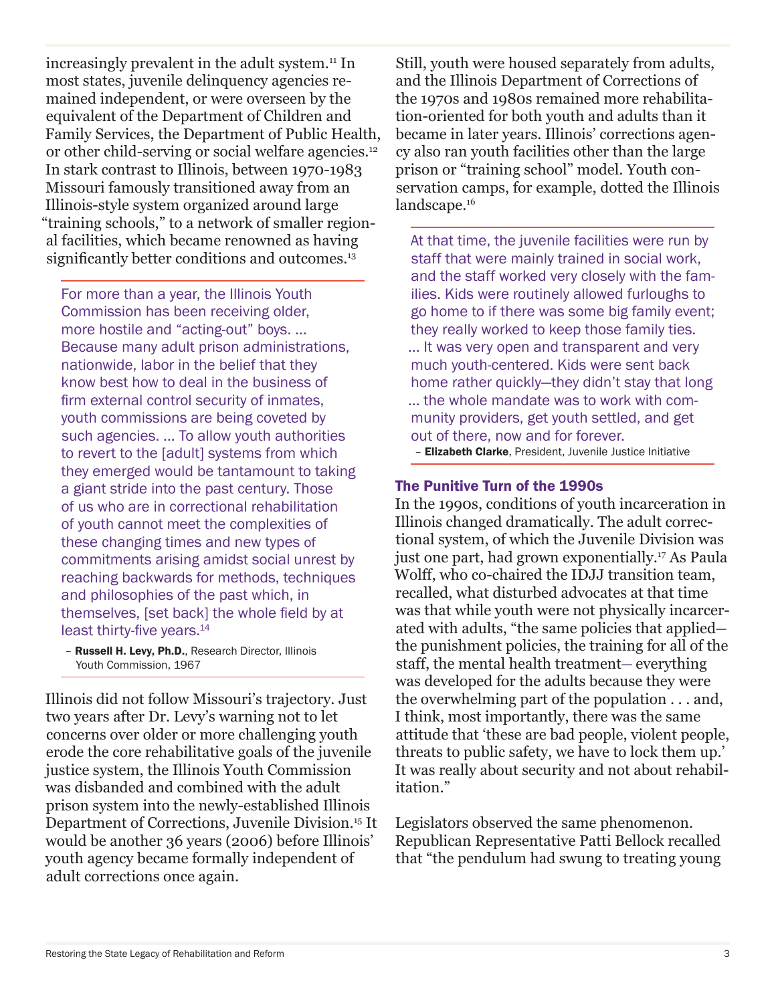increasingly prevalent in the adult system.11 In most states, juvenile delinquency agencies remained independent, or were overseen by the equivalent of the Department of Children and Family Services, the Department of Public Health, or other child-serving or social welfare agencies.<sup>12</sup> In stark contrast to Illinois, between 1970-1983 Missouri famously transitioned away from an Illinois-style system organized around large "training schools," to a network of smaller regional facilities, which became renowned as having significantly better conditions and outcomes.<sup>13</sup>

For more than a year, the Illinois Youth Commission has been receiving older, more hostile and "acting-out" boys. ... Because many adult prison administrations, nationwide, labor in the belief that they know best how to deal in the business of firm external control security of inmates, youth commissions are being coveted by such agencies. ... To allow youth authorities to revert to the [adult] systems from which they emerged would be tantamount to taking a giant stride into the past century. Those of us who are in correctional rehabilitation of youth cannot meet the complexities of these changing times and new types of commitments arising amidst social unrest by reaching backwards for methods, techniques and philosophies of the past which, in themselves, [set back] the whole field by at least thirty-five years.<sup>14</sup>

– Russell H. Levy, Ph.D., Research Director, Illinois Youth Commission, 1967

Illinois did not follow Missouri's trajectory. Just two years after Dr. Levy's warning not to let concerns over older or more challenging youth erode the core rehabilitative goals of the juvenile justice system, the Illinois Youth Commission was disbanded and combined with the adult prison system into the newly-established Illinois Department of Corrections, Juvenile Division.15 It would be another 36 years (2006) before Illinois' youth agency became formally independent of adult corrections once again.

Still, youth were housed separately from adults, and the Illinois Department of Corrections of the 1970s and 1980s remained more rehabilitation-oriented for both youth and adults than it became in later years. Illinois' corrections agency also ran youth facilities other than the large prison or "training school" model. Youth conservation camps, for example, dotted the Illinois landscape.<sup>16</sup>

At that time, the juvenile facilities were run by staff that were mainly trained in social work, and the staff worked very closely with the families. Kids were routinely allowed furloughs to go home to if there was some big family event; they really worked to keep those family ties. ... It was very open and transparent and very much youth-centered. Kids were sent back home rather quickly—they didn't stay that long ... the whole mandate was to work with community providers, get youth settled, and get out of there, now and for forever.

– Elizabeth Clarke, President, Juvenile Justice Initiative

#### The Punitive Turn of the 1990s

In the 1990s, conditions of youth incarceration in Illinois changed dramatically. The adult correctional system, of which the Juvenile Division was just one part, had grown exponentially.<sup>17</sup> As Paula Wolff, who co-chaired the IDJJ transition team, recalled, what disturbed advocates at that time was that while youth were not physically incarcerated with adults, "the same policies that applied the punishment policies, the training for all of the staff, the mental health treatment— everything was developed for the adults because they were the overwhelming part of the population . . . and, I think, most importantly, there was the same attitude that 'these are bad people, violent people, threats to public safety, we have to lock them up.' It was really about security and not about rehabilitation."

Legislators observed the same phenomenon. Republican Representative Patti Bellock recalled that "the pendulum had swung to treating young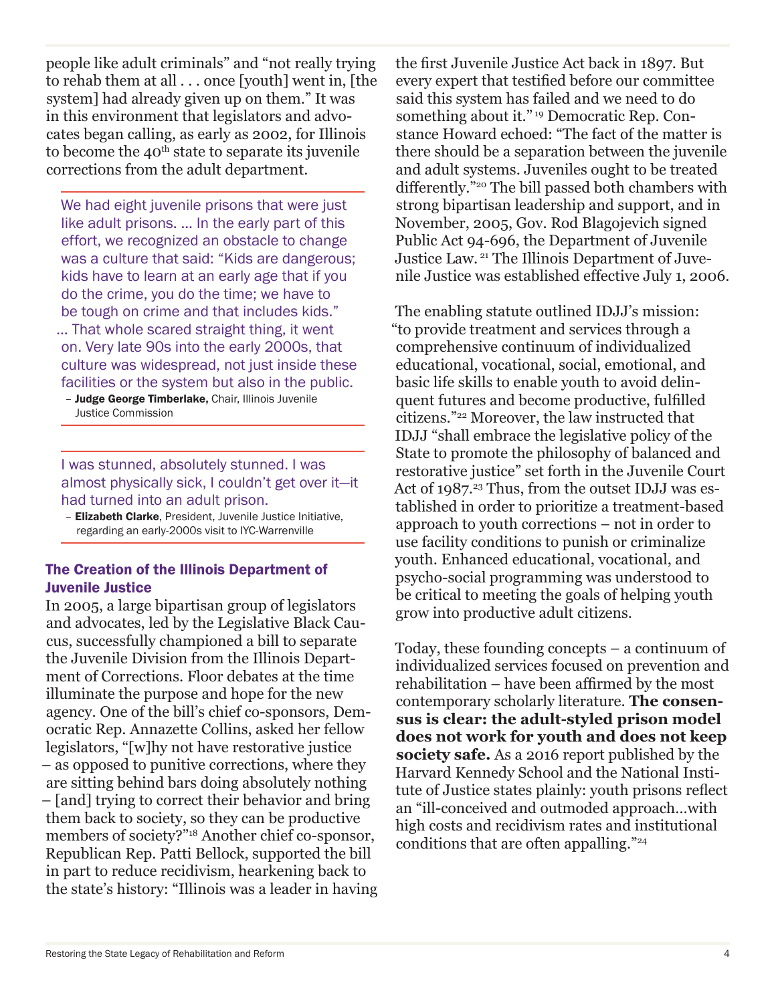people like adult criminals" and "not really trying to rehab them at all . . . once [youth] went in, [the system] had already given up on them." It was in this environment that legislators and advocates began calling, as early as 2002, for Illinois to become the  $40<sup>th</sup>$  state to separate its juvenile corrections from the adult department.

We had eight juvenile prisons that were just like adult prisons. … In the early part of this effort, we recognized an obstacle to change was a culture that said: "Kids are dangerous; kids have to learn at an early age that if you do the crime, you do the time; we have to be tough on crime and that includes kids." … That whole scared straight thing, it went on. Very late 90s into the early 2000s, that culture was widespread, not just inside these facilities or the system but also in the public.

- Judge George Timberlake, Chair, Illinois Juvenile Justice Commission

I was stunned, absolutely stunned. I was almost physically sick, I couldn't get over it—it had turned into an adult prison.

– Elizabeth Clarke, President, Juvenile Justice Initiative, regarding an early-2000s visit to IYC-Warrenville

#### The Creation of the Illinois Department of Juvenile Justice

In 2005, a large bipartisan group of legislators and advocates, led by the Legislative Black Caucus, successfully championed a bill to separate the Juvenile Division from the Illinois Department of Corrections. Floor debates at the time illuminate the purpose and hope for the new agency. One of the bill's chief co-sponsors, Democratic Rep. Annazette Collins, asked her fellow legislators, "[w]hy not have restorative justice – as opposed to punitive corrections, where they are sitting behind bars doing absolutely nothing – [and] trying to correct their behavior and bring them back to society, so they can be productive members of society?"18 Another chief co-sponsor, Republican Rep. Patti Bellock, supported the bill in part to reduce recidivism, hearkening back to the state's history: "Illinois was a leader in having

the first Juvenile Justice Act back in 1897. But every expert that testified before our committee said this system has failed and we need to do something about it." 19 Democratic Rep. Constance Howard echoed: "The fact of the matter is there should be a separation between the juvenile and adult systems. Juveniles ought to be treated differently."20 The bill passed both chambers with strong bipartisan leadership and support, and in November, 2005, Gov. Rod Blagojevich signed Public Act 94-696, the Department of Juvenile Justice Law. 21 The Illinois Department of Juvenile Justice was established effective July 1, 2006.

The enabling statute outlined IDJJ's mission: "to provide treatment and services through a comprehensive continuum of individualized educational, vocational, social, emotional, and basic life skills to enable youth to avoid delinquent futures and become productive, fulfilled citizens."22 Moreover, the law instructed that IDJJ "shall embrace the legislative policy of the State to promote the philosophy of balanced and restorative justice" set forth in the Juvenile Court Act of 1987.<sup>23</sup> Thus, from the outset IDJJ was established in order to prioritize a treatment-based approach to youth corrections – not in order to use facility conditions to punish or criminalize youth. Enhanced educational, vocational, and psycho-social programming was understood to be critical to meeting the goals of helping youth grow into productive adult citizens.

Today, these founding concepts – a continuum of individualized services focused on prevention and rehabilitation – have been affirmed by the most contemporary scholarly literature. **The consensus is clear: the adult-styled prison model does not work for youth and does not keep society safe.** As a 2016 report published by the Harvard Kennedy School and the National Institute of Justice states plainly: youth prisons reflect an "ill-conceived and outmoded approach…with high costs and recidivism rates and institutional conditions that are often appalling."24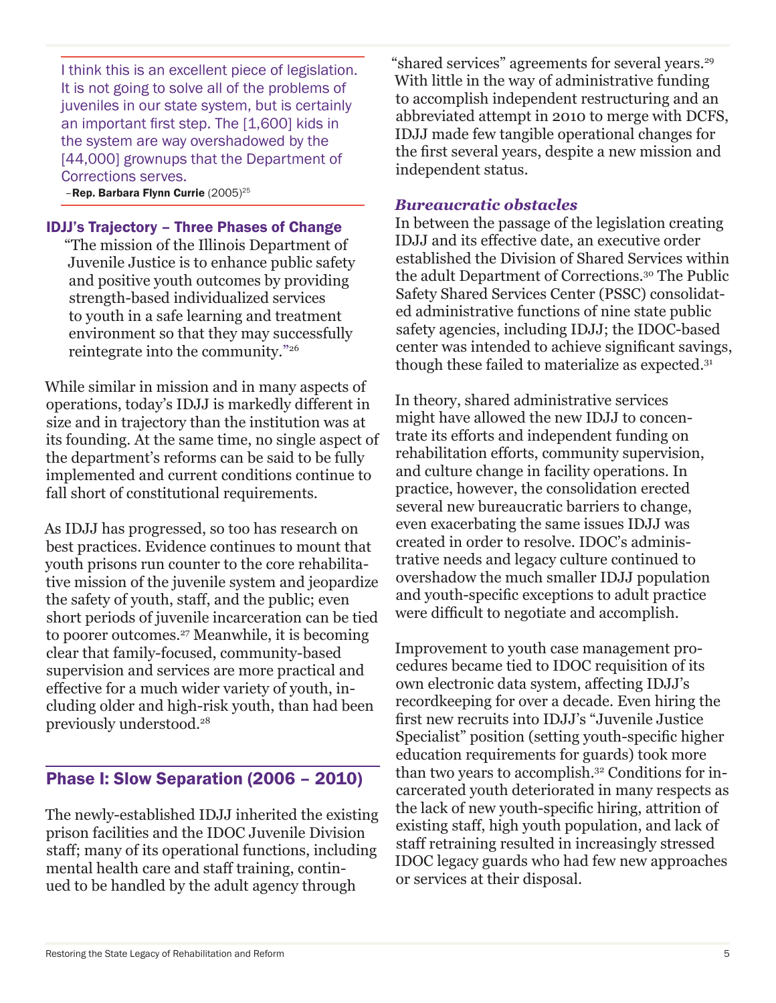I think this is an excellent piece of legislation. It is not going to solve all of the problems of juveniles in our state system, but is certainly an important first step. The [1,600] kids in the system are way overshadowed by the [44,000] grownups that the Department of Corrections serves.

-Rep. Barbara Flynn Currie (2005)<sup>25</sup>

#### IDJJ's Trajectory – Three Phases of Change

"The mission of the Illinois Department of Juvenile Justice is to enhance public safety and positive youth outcomes by providing strength-based individualized services to youth in a safe learning and treatment environment so that they may successfully reintegrate into the community."26

While similar in mission and in many aspects of operations, today's IDJJ is markedly different in size and in trajectory than the institution was at its founding. At the same time, no single aspect of the department's reforms can be said to be fully implemented and current conditions continue to fall short of constitutional requirements.

As IDJJ has progressed, so too has research on best practices. Evidence continues to mount that youth prisons run counter to the core rehabilitative mission of the juvenile system and jeopardize the safety of youth, staff, and the public; even short periods of juvenile incarceration can be tied to poorer outcomes.27 Meanwhile, it is becoming clear that family-focused, community-based supervision and services are more practical and effective for a much wider variety of youth, including older and high-risk youth, than had been previously understood.28

### Phase I: Slow Separation (2006 – 2010)

The newly-established IDJJ inherited the existing prison facilities and the IDOC Juvenile Division staff; many of its operational functions, including mental health care and staff training, continued to be handled by the adult agency through

"shared services" agreements for several years.29 With little in the way of administrative funding to accomplish independent restructuring and an abbreviated attempt in 2010 to merge with DCFS, IDJJ made few tangible operational changes for the first several years, despite a new mission and independent status.

### *Bureaucratic obstacles*

In between the passage of the legislation creating IDJJ and its effective date, an executive order established the Division of Shared Services within the adult Department of Corrections.30 The Public Safety Shared Services Center (PSSC) consolidated administrative functions of nine state public safety agencies, including IDJJ; the IDOC-based center was intended to achieve significant savings, though these failed to materialize as expected.31

In theory, shared administrative services might have allowed the new IDJJ to concentrate its efforts and independent funding on rehabilitation efforts, community supervision, and culture change in facility operations. In practice, however, the consolidation erected several new bureaucratic barriers to change, even exacerbating the same issues IDJJ was created in order to resolve. IDOC's administrative needs and legacy culture continued to overshadow the much smaller IDJJ population and youth-specific exceptions to adult practice were difficult to negotiate and accomplish.

Improvement to youth case management procedures became tied to IDOC requisition of its own electronic data system, affecting IDJJ's recordkeeping for over a decade. Even hiring the first new recruits into IDJJ's "Juvenile Justice Specialist" position (setting youth-specific higher education requirements for guards) took more than two years to accomplish.32 Conditions for incarcerated youth deteriorated in many respects as the lack of new youth-specific hiring, attrition of existing staff, high youth population, and lack of staff retraining resulted in increasingly stressed IDOC legacy guards who had few new approaches or services at their disposal.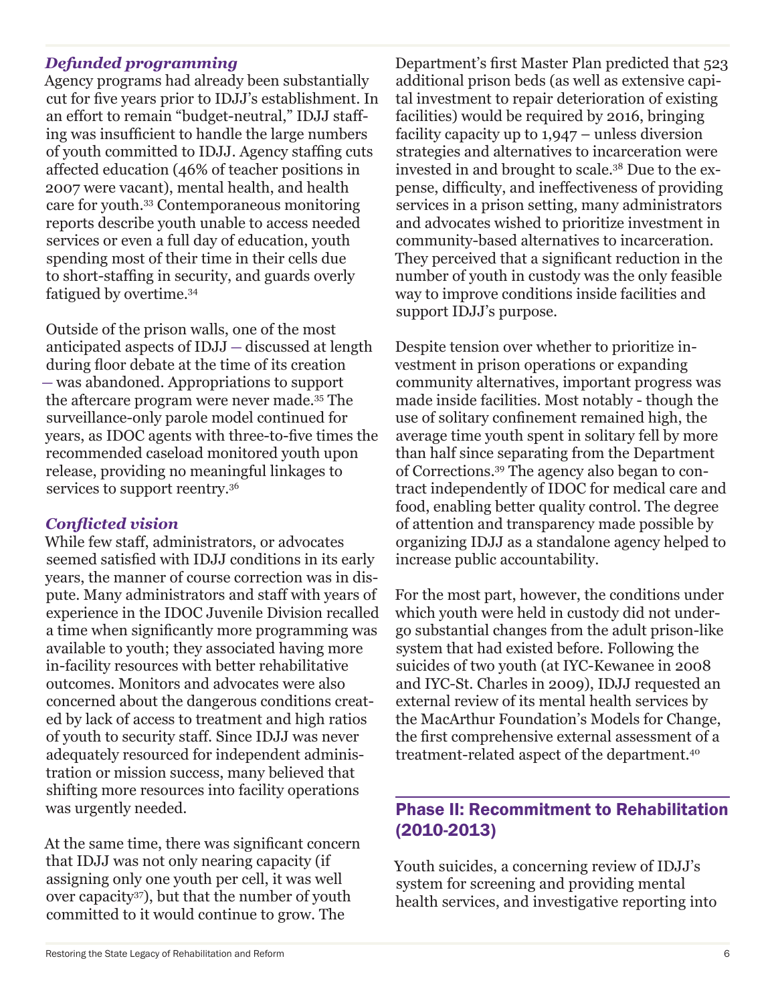### *Defunded programming*

Agency programs had already been substantially cut for five years prior to IDJJ's establishment. In an effort to remain "budget-neutral," IDJJ staffing was insufficient to handle the large numbers of youth committed to IDJJ. Agency staffing cuts affected education (46% of teacher positions in 2007 were vacant), mental health, and health care for youth.33 Contemporaneous monitoring reports describe youth unable to access needed services or even a full day of education, youth spending most of their time in their cells due to short-staffing in security, and guards overly fatigued by overtime.34

Outside of the prison walls, one of the most anticipated aspects of IDJJ — discussed at length during floor debate at the time of its creation — was abandoned. Appropriations to support the aftercare program were never made.35 The surveillance-only parole model continued for years, as IDOC agents with three-to-five times the recommended caseload monitored youth upon release, providing no meaningful linkages to services to support reentry.<sup>36</sup>

### *Conflicted vision*

While few staff, administrators, or advocates seemed satisfied with IDJJ conditions in its early years, the manner of course correction was in dispute. Many administrators and staff with years of experience in the IDOC Juvenile Division recalled a time when significantly more programming was available to youth; they associated having more in-facility resources with better rehabilitative outcomes. Monitors and advocates were also concerned about the dangerous conditions created by lack of access to treatment and high ratios of youth to security staff. Since IDJJ was never adequately resourced for independent administration or mission success, many believed that shifting more resources into facility operations was urgently needed.

At the same time, there was significant concern that IDJJ was not only nearing capacity (if assigning only one youth per cell, it was well over capacity37), but that the number of youth committed to it would continue to grow. The

Department's first Master Plan predicted that 523 additional prison beds (as well as extensive capital investment to repair deterioration of existing facilities) would be required by 2016, bringing facility capacity up to 1,947 – unless diversion strategies and alternatives to incarceration were invested in and brought to scale.38 Due to the expense, difficulty, and ineffectiveness of providing services in a prison setting, many administrators and advocates wished to prioritize investment in community-based alternatives to incarceration. They perceived that a significant reduction in the number of youth in custody was the only feasible way to improve conditions inside facilities and support IDJJ's purpose.

Despite tension over whether to prioritize investment in prison operations or expanding community alternatives, important progress was made inside facilities. Most notably - though the use of solitary confinement remained high, the average time youth spent in solitary fell by more than half since separating from the Department of Corrections.39 The agency also began to contract independently of IDOC for medical care and food, enabling better quality control. The degree of attention and transparency made possible by organizing IDJJ as a standalone agency helped to increase public accountability.

For the most part, however, the conditions under which youth were held in custody did not undergo substantial changes from the adult prison-like system that had existed before. Following the suicides of two youth (at IYC-Kewanee in 2008 and IYC-St. Charles in 2009), IDJJ requested an external review of its mental health services by the MacArthur Foundation's Models for Change, the first comprehensive external assessment of a treatment-related aspect of the department.40

## Phase II: Recommitment to Rehabilitation (2010-2013)

Youth suicides, a concerning review of IDJJ's system for screening and providing mental health services, and investigative reporting into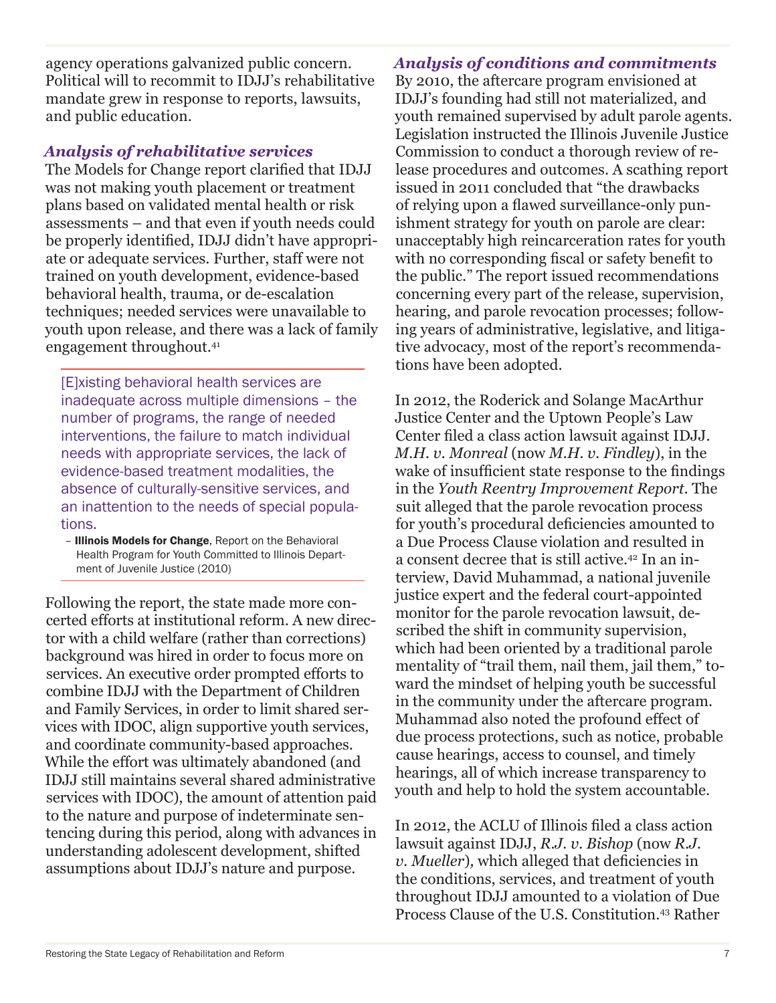agency operations galvanized public concern. Political will to recommit to IDJJ's rehabilitative mandate grew in response to reports, lawsuits, and public education.

### *Analysis of rehabilitative services*

The Models for Change report clarified that IDJJ was not making youth placement or treatment plans based on validated mental health or risk assessments – and that even if youth needs could be properly identified, IDJJ didn't have appropriate or adequate services. Further, staff were not trained on youth development, evidence-based behavioral health, trauma, or de-escalation techniques; needed services were unavailable to youth upon release, and there was a lack of family engagement throughout.41

[E]xisting behavioral health services are inadequate across multiple dimensions – the number of programs, the range of needed interventions, the failure to match individual needs with appropriate services, the lack of evidence-based treatment modalities, the absence of culturally-sensitive services, and an inattention to the needs of special populations.

– Illinois Models for Change, Report on the Behavioral Health Program for Youth Committed to Illinois Department of Juvenile Justice (2010)

Following the report, the state made more concerted efforts at institutional reform. A new director with a child welfare (rather than corrections) background was hired in order to focus more on services. An executive order prompted efforts to combine IDJJ with the Department of Children and Family Services, in order to limit shared services with IDOC, align supportive youth services, and coordinate community-based approaches. While the effort was ultimately abandoned (and IDJJ still maintains several shared administrative services with IDOC), the amount of attention paid to the nature and purpose of indeterminate sentencing during this period, along with advances in understanding adolescent development, shifted assumptions about IDJJ's nature and purpose.

### *Analysis of conditions and commitments*

By 2010, the aftercare program envisioned at IDJJ's founding had still not materialized, and youth remained supervised by adult parole agents. Legislation instructed the Illinois Juvenile Justice Commission to conduct a thorough review of release procedures and outcomes. A scathing report issued in 2011 concluded that "the drawbacks of relying upon a flawed surveillance-only punishment strategy for youth on parole are clear: unacceptably high reincarceration rates for youth with no corresponding fiscal or safety benefit to the public." The report issued recommendations concerning every part of the release, supervision, hearing, and parole revocation processes; following years of administrative, legislative, and litigative advocacy, most of the report's recommendations have been adopted.

In 2012, the Roderick and Solange MacArthur Justice Center and the Uptown People's Law Center filed a class action lawsuit against IDJJ. *M.H. v. Monreal* (now *M.H. v. Findley*), in the wake of insufficient state response to the findings in the *Youth Reentry Improvement Report.* The suit alleged that the parole revocation process for youth's procedural deficiencies amounted to a Due Process Clause violation and resulted in a consent decree that is still active.42 In an interview, David Muhammad, a national juvenile justice expert and the federal court-appointed monitor for the parole revocation lawsuit, described the shift in community supervision, which had been oriented by a traditional parole mentality of "trail them, nail them, jail them," toward the mindset of helping youth be successful in the community under the aftercare program. Muhammad also noted the profound effect of due process protections, such as notice, probable cause hearings, access to counsel, and timely hearings, all of which increase transparency to youth and help to hold the system accountable.

In 2012, the ACLU of Illinois filed a class action lawsuit against IDJJ, *R.J. v. Bishop* (now *R.J. v. Mueller*)*,* which alleged that deficiencies in the conditions, services, and treatment of youth throughout IDJJ amounted to a violation of Due Process Clause of the U.S. Constitution.43 Rather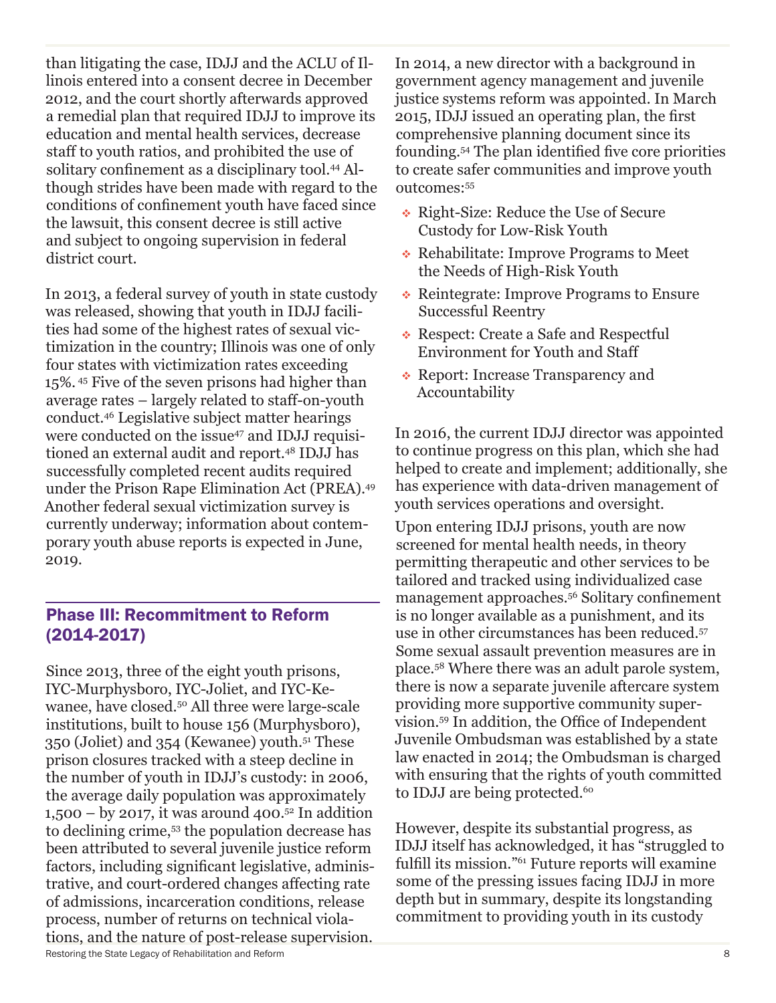than litigating the case, IDJJ and the ACLU of Illinois entered into a consent decree in December 2012, and the court shortly afterwards approved a remedial plan that required IDJJ to improve its education and mental health services, decrease staff to youth ratios, and prohibited the use of solitary confinement as a disciplinary tool.<sup>44</sup> Although strides have been made with regard to the conditions of confinement youth have faced since the lawsuit, this consent decree is still active and subject to ongoing supervision in federal district court.

In 2013, a federal survey of youth in state custody was released, showing that youth in IDJJ facilities had some of the highest rates of sexual victimization in the country; Illinois was one of only four states with victimization rates exceeding 15%. 45 Five of the seven prisons had higher than average rates – largely related to staff-on-youth conduct.46 Legislative subject matter hearings were conducted on the issue<sup>47</sup> and IDJJ requisitioned an external audit and report.48 IDJJ has successfully completed recent audits required under the Prison Rape Elimination Act (PREA).49 Another federal sexual victimization survey is currently underway; information about contemporary youth abuse reports is expected in June, 2019.

## Phase III: Recommitment to Reform (2014-2017)

Restoring the State Legacy of Rehabilitation and Reform 8 Since 2013, three of the eight youth prisons, IYC-Murphysboro, IYC-Joliet, and IYC-Kewanee, have closed.50 All three were large-scale institutions, built to house 156 (Murphysboro), 350 (Joliet) and 354 (Kewanee) youth.51 These prison closures tracked with a steep decline in the number of youth in IDJJ's custody: in 2006, the average daily population was approximately 1,500 – by 2017, it was around 400.<sup>52</sup> In addition to declining crime,53 the population decrease has been attributed to several juvenile justice reform factors, including significant legislative, administrative, and court-ordered changes affecting rate of admissions, incarceration conditions, release process, number of returns on technical violations, and the nature of post-release supervision.

In 2014, a new director with a background in government agency management and juvenile justice systems reform was appointed. In March 2015, IDJJ issued an operating plan, the first comprehensive planning document since its founding.54 The plan identified five core priorities to create safer communities and improve youth outcomes:55

- ◆ Right-Size: Reduce the Use of Secure Custody for Low-Risk Youth
- Rehabilitate: Improve Programs to Meet the Needs of High-Risk Youth
- Reintegrate: Improve Programs to Ensure Successful Reentry
- Respect: Create a Safe and Respectful Environment for Youth and Staff
- Report: Increase Transparency and Accountability

In 2016, the current IDJJ director was appointed to continue progress on this plan, which she had helped to create and implement; additionally, she has experience with data-driven management of youth services operations and oversight.

Upon entering IDJJ prisons, youth are now screened for mental health needs, in theory permitting therapeutic and other services to be tailored and tracked using individualized case management approaches.56 Solitary confinement is no longer available as a punishment, and its use in other circumstances has been reduced.57 Some sexual assault prevention measures are in place.58 Where there was an adult parole system, there is now a separate juvenile aftercare system providing more supportive community supervision.59 In addition, the Office of Independent Juvenile Ombudsman was established by a state law enacted in 2014; the Ombudsman is charged with ensuring that the rights of youth committed to IDJJ are being protected.<sup>60</sup>

However, despite its substantial progress, as IDJJ itself has acknowledged, it has "struggled to fulfill its mission."61 Future reports will examine some of the pressing issues facing IDJJ in more depth but in summary, despite its longstanding commitment to providing youth in its custody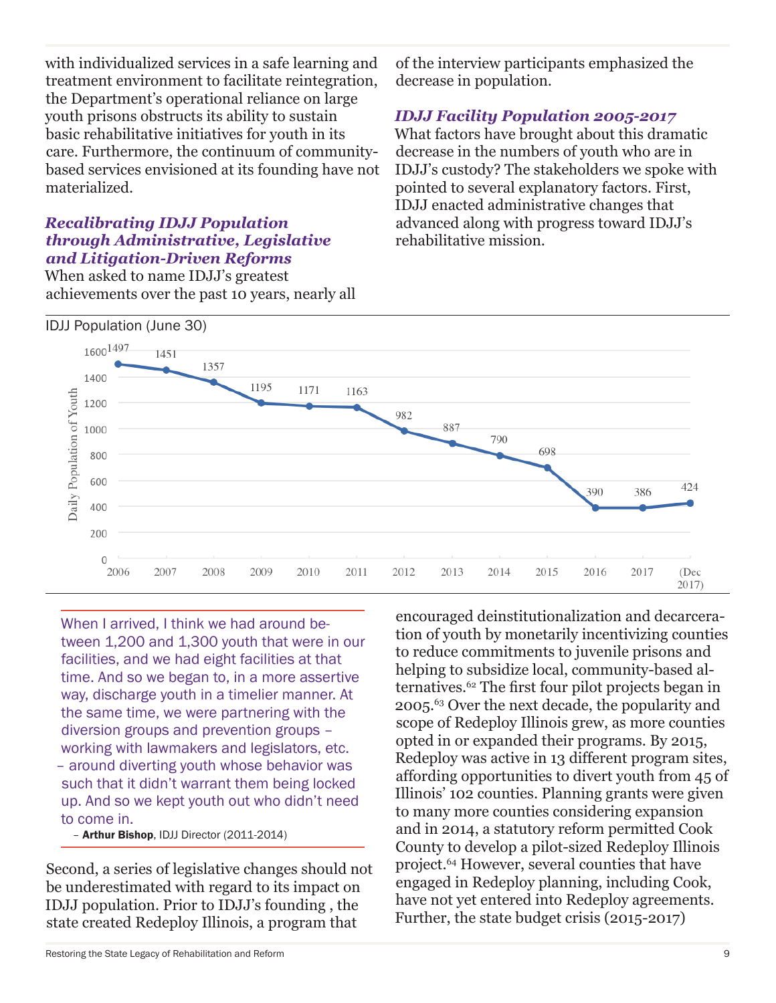with individualized services in a safe learning and treatment environment to facilitate reintegration, the Department's operational reliance on large youth prisons obstructs its ability to sustain basic rehabilitative initiatives for youth in its care. Furthermore, the continuum of communitybased services envisioned at its founding have not materialized.

### *Recalibrating IDJJ Population through Administrative, Legislative and Litigation-Driven Reforms*

When asked to name IDJJ's greatest achievements over the past 10 years, nearly all of the interview participants emphasized the decrease in population.

### *IDJJ Facility Population 2005-2017*

What factors have brought about this dramatic decrease in the numbers of youth who are in IDJJ's custody? The stakeholders we spoke with pointed to several explanatory factors. First, IDJJ enacted administrative changes that advanced along with progress toward IDJJ's rehabilitative mission.



When I arrived, I think we had around between 1,200 and 1,300 youth that were in our facilities, and we had eight facilities at that time. And so we began to, in a more assertive way, discharge youth in a timelier manner. At the same time, we were partnering with the diversion groups and prevention groups – working with lawmakers and legislators, etc. – around diverting youth whose behavior was such that it didn't warrant them being locked up. And so we kept youth out who didn't need to come in.

– Arthur Bishop, IDJJ Director (2011-2014)

Second, a series of legislative changes should not be underestimated with regard to its impact on IDJJ population. Prior to IDJJ's founding , the state created Redeploy Illinois, a program that

Restoring the State Legacy of Rehabilitation and Reform 9

encouraged deinstitutionalization and decarceration of youth by monetarily incentivizing counties to reduce commitments to juvenile prisons and helping to subsidize local, community-based alternatives.62 The first four pilot projects began in 2005.63 Over the next decade, the popularity and scope of Redeploy Illinois grew, as more counties opted in or expanded their programs. By 2015, Redeploy was active in 13 different program sites, affording opportunities to divert youth from 45 of Illinois' 102 counties. Planning grants were given to many more counties considering expansion and in 2014, a statutory reform permitted Cook County to develop a pilot-sized Redeploy Illinois project.64 However, several counties that have engaged in Redeploy planning, including Cook, have not yet entered into Redeploy agreements. Further, the state budget crisis (2015-2017)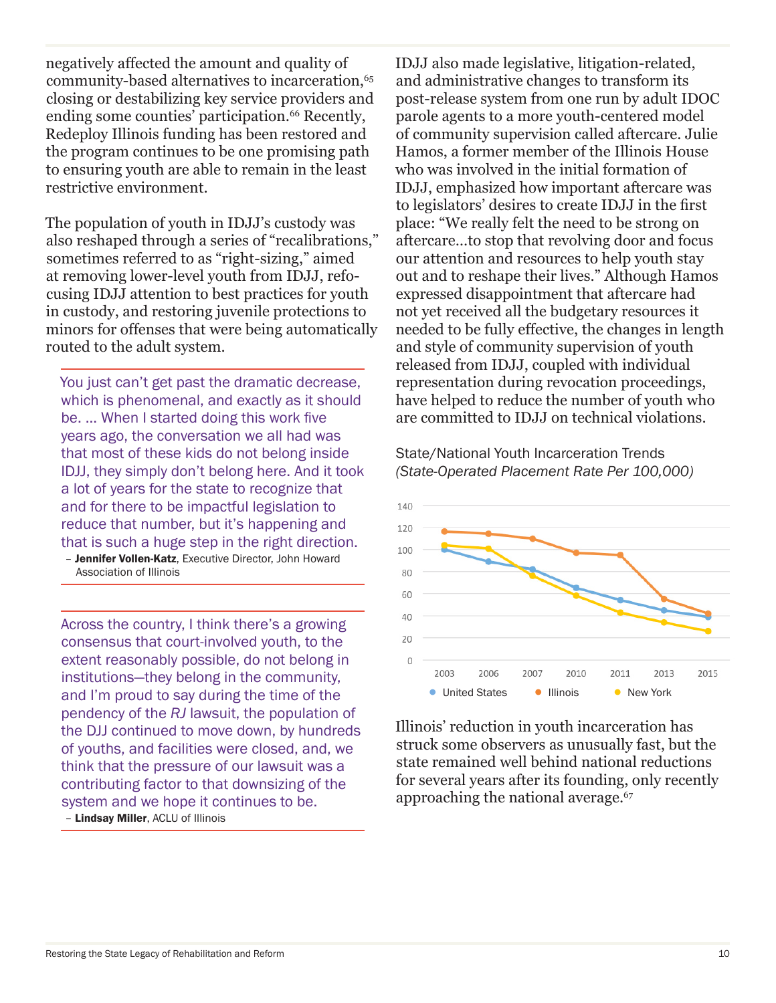negatively affected the amount and quality of community-based alternatives to incarceration,<sup>65</sup> closing or destabilizing key service providers and ending some counties' participation.<sup>66</sup> Recently, Redeploy Illinois funding has been restored and the program continues to be one promising path to ensuring youth are able to remain in the least restrictive environment.

The population of youth in IDJJ's custody was also reshaped through a series of "recalibrations," sometimes referred to as "right-sizing," aimed at removing lower-level youth from IDJJ, refocusing IDJJ attention to best practices for youth in custody, and restoring juvenile protections to minors for offenses that were being automatically routed to the adult system.

You just can't get past the dramatic decrease, which is phenomenal, and exactly as it should be. ... When I started doing this work five years ago, the conversation we all had was that most of these kids do not belong inside IDJJ, they simply don't belong here. And it took a lot of years for the state to recognize that and for there to be impactful legislation to reduce that number, but it's happening and that is such a huge step in the right direction.

- Jennifer Vollen-Katz, Executive Director, John Howard Association of Illinois

Across the country, I think there's a growing consensus that court-involved youth, to the extent reasonably possible, do not belong in institutions—they belong in the community, and I'm proud to say during the time of the pendency of the *RJ* lawsuit, the population of the DJJ continued to move down, by hundreds of youths, and facilities were closed, and, we think that the pressure of our lawsuit was a contributing factor to that downsizing of the system and we hope it continues to be. – Lindsay Miller, ACLU of Illinois

IDJJ also made legislative, litigation-related, and administrative changes to transform its post-release system from one run by adult IDOC parole agents to a more youth-centered model of community supervision called aftercare. Julie Hamos, a former member of the Illinois House who was involved in the initial formation of IDJJ, emphasized how important aftercare was to legislators' desires to create IDJJ in the first place: "We really felt the need to be strong on aftercare…to stop that revolving door and focus our attention and resources to help youth stay out and to reshape their lives." Although Hamos expressed disappointment that aftercare had not yet received all the budgetary resources it needed to be fully effective, the changes in length and style of community supervision of youth released from IDJJ, coupled with individual representation during revocation proceedings, have helped to reduce the number of youth who are committed to IDJJ on technical violations.

State/National Youth Incarceration Trends *(State-Operated Placement Rate Per 100,000)*



Illinois' reduction in youth incarceration has struck some observers as unusually fast, but the state remained well behind national reductions for several years after its founding, only recently approaching the national average.<sup>67</sup>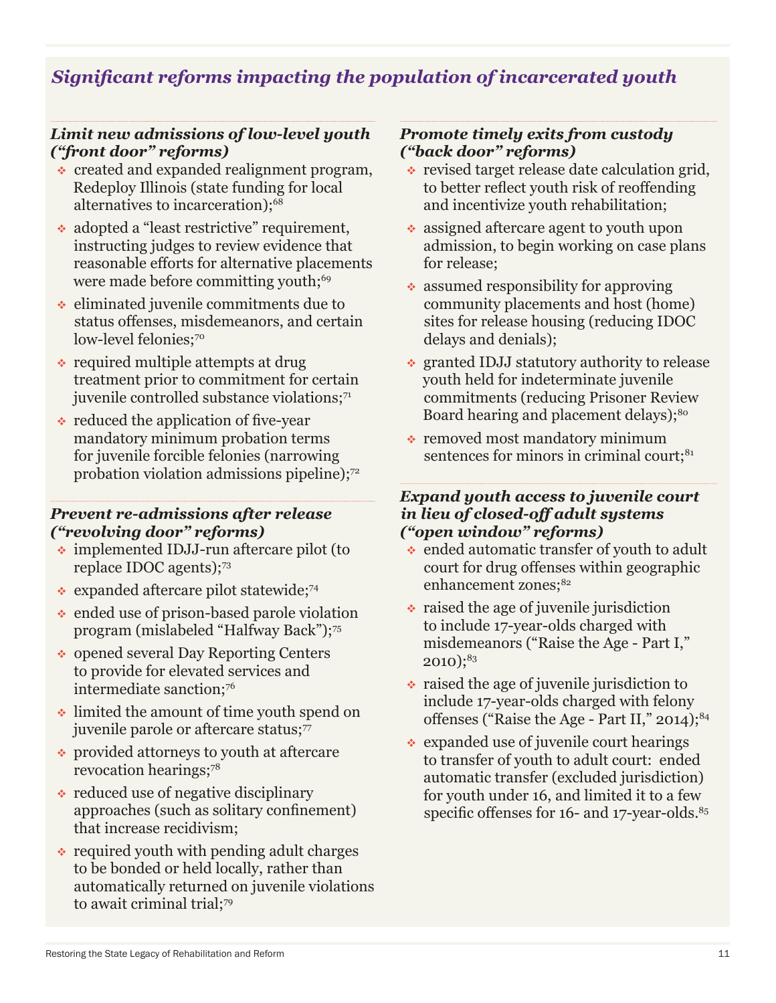## *Significant reforms impacting the population of incarcerated youth*

#### *Limit new admissions of low-level youth ("front door" reforms)*

- created and expanded realignment program, Redeploy Illinois (state funding for local alternatives to incarceration);<sup>68</sup>
- adopted a "least restrictive" requirement, instructing judges to review evidence that reasonable efforts for alternative placements were made before committing youth;<sup>69</sup>
- $\cdot$  eliminated juvenile commitments due to status offenses, misdemeanors, and certain low-level felonies:<sup>70</sup>
- $\cdot$  required multiple attempts at drug treatment prior to commitment for certain juvenile controlled substance violations;<sup>71</sup>
- $\cdot$  reduced the application of five-year mandatory minimum probation terms for juvenile forcible felonies (narrowing probation violation admissions pipeline);<sup>72</sup>

#### *Prevent re-admissions after release ("revolving door" reforms)*

- implemented IDJJ-run aftercare pilot (to replace IDOC agents);<sup>73</sup>
- $\cdot$  expanded aftercare pilot statewide;<sup>74</sup>
- $\cdot$  ended use of prison-based parole violation program (mislabeled "Halfway Back");75
- ◆ opened several Day Reporting Centers to provide for elevated services and intermediate sanction:76
- limited the amount of time youth spend on juvenile parole or aftercare status;<sup>77</sup>
- provided attorneys to youth at aftercare revocation hearings;78
- $\cdot$  reduced use of negative disciplinary approaches (such as solitary confinement) that increase recidivism;
- $\cdot$  required youth with pending adult charges to be bonded or held locally, rather than automatically returned on juvenile violations to await criminal trial;<sup>79</sup>

#### *Promote timely exits from custody ("back door" reforms)*

- $\cdot$  revised target release date calculation grid, to better reflect youth risk of reoffending and incentivize youth rehabilitation;
- assigned aftercare agent to youth upon admission, to begin working on case plans for release;
- $\bullet$  assumed responsibility for approving community placements and host (home) sites for release housing (reducing IDOC delays and denials);
- granted IDJJ statutory authority to release youth held for indeterminate juvenile commitments (reducing Prisoner Review Board hearing and placement delays);<sup>80</sup>
- removed most mandatory minimum sentences for minors in criminal court;<sup>81</sup>

#### *Expand youth access to juvenile court in lieu of closed-off adult systems ("open window" reforms)*

- ended automatic transfer of youth to adult court for drug offenses within geographic enhancement zones;<sup>82</sup>
- $\cdot$  raised the age of juvenile jurisdiction to include 17-year-olds charged with misdemeanors ("Raise the Age - Part I,"  $2010$ ;<sup>83</sup>
- $\cdot$  raised the age of juvenile jurisdiction to include 17-year-olds charged with felony offenses ("Raise the Age - Part II,"  $2014$ );  $84$
- expanded use of juvenile court hearings to transfer of youth to adult court: ended automatic transfer (excluded jurisdiction) for youth under 16, and limited it to a few specific offenses for 16- and 17-year-olds.<sup>85</sup>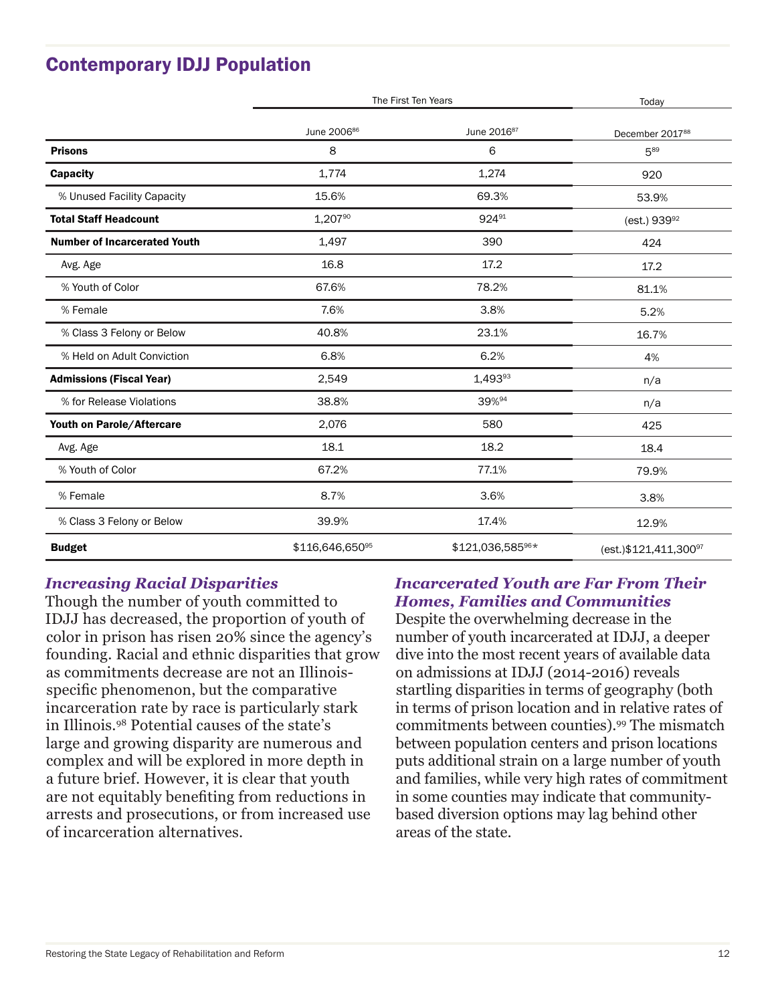# Contemporary IDJJ Population

|                                     | The First Ten Years     |                         | Today                                |
|-------------------------------------|-------------------------|-------------------------|--------------------------------------|
|                                     | June 2006 <sup>86</sup> | June 2016 <sup>87</sup> | December 2017 <sup>88</sup>          |
| <b>Prisons</b>                      | 8                       | 6                       | 589                                  |
| <b>Capacity</b>                     | 1,774                   | 1,274                   | 920                                  |
| % Unused Facility Capacity          | 15.6%                   | 69.3%                   | 53.9%                                |
| <b>Total Staff Headcount</b>        | 1,207%                  | 92491                   | (est.) $939^{92}$                    |
| <b>Number of Incarcerated Youth</b> | 1,497                   | 390                     | 424                                  |
| Avg. Age                            | 16.8                    | 17.2                    | 17.2                                 |
| % Youth of Color                    | 67.6%                   | 78.2%                   | 81.1%                                |
| % Female                            | 7.6%                    | 3.8%                    | 5.2%                                 |
| % Class 3 Felony or Below           | 40.8%                   | 23.1%                   | 16.7%                                |
| % Held on Adult Conviction          | 6.8%                    | 6.2%                    | 4%                                   |
| <b>Admissions (Fiscal Year)</b>     | 2,549                   | $1,493^{93}$            | n/a                                  |
| % for Release Violations            | 38.8%                   | 39%94                   | n/a                                  |
| Youth on Parole/Aftercare           | 2,076                   | 580                     | 425                                  |
| Avg. Age                            | 18.1                    | 18.2                    | 18.4                                 |
| % Youth of Color                    | 67.2%                   | 77.1%                   | 79.9%                                |
| % Female                            | 8.7%                    | 3.6%                    | 3.8%                                 |
| % Class 3 Felony or Below           | 39.9%                   | 17.4%                   | 12.9%                                |
| <b>Budget</b>                       | \$116,646,65095         | \$121,036,585%*         | (est.) \$121, 411, 300 <sup>97</sup> |

### *Increasing Racial Disparities*

Though the number of youth committed to IDJJ has decreased, the proportion of youth of color in prison has risen 20% since the agency's founding. Racial and ethnic disparities that grow as commitments decrease are not an Illinoisspecific phenomenon, but the comparative incarceration rate by race is particularly stark in Illinois.98 Potential causes of the state's large and growing disparity are numerous and complex and will be explored in more depth in a future brief. However, it is clear that youth are not equitably benefiting from reductions in arrests and prosecutions, or from increased use of incarceration alternatives.

### *Incarcerated Youth are Far From Their Homes, Families and Communities*

Despite the overwhelming decrease in the number of youth incarcerated at IDJJ, a deeper dive into the most recent years of available data on admissions at IDJJ (2014-2016) reveals startling disparities in terms of geography (both in terms of prison location and in relative rates of commitments between counties).99 The mismatch between population centers and prison locations puts additional strain on a large number of youth and families, while very high rates of commitment in some counties may indicate that communitybased diversion options may lag behind other areas of the state.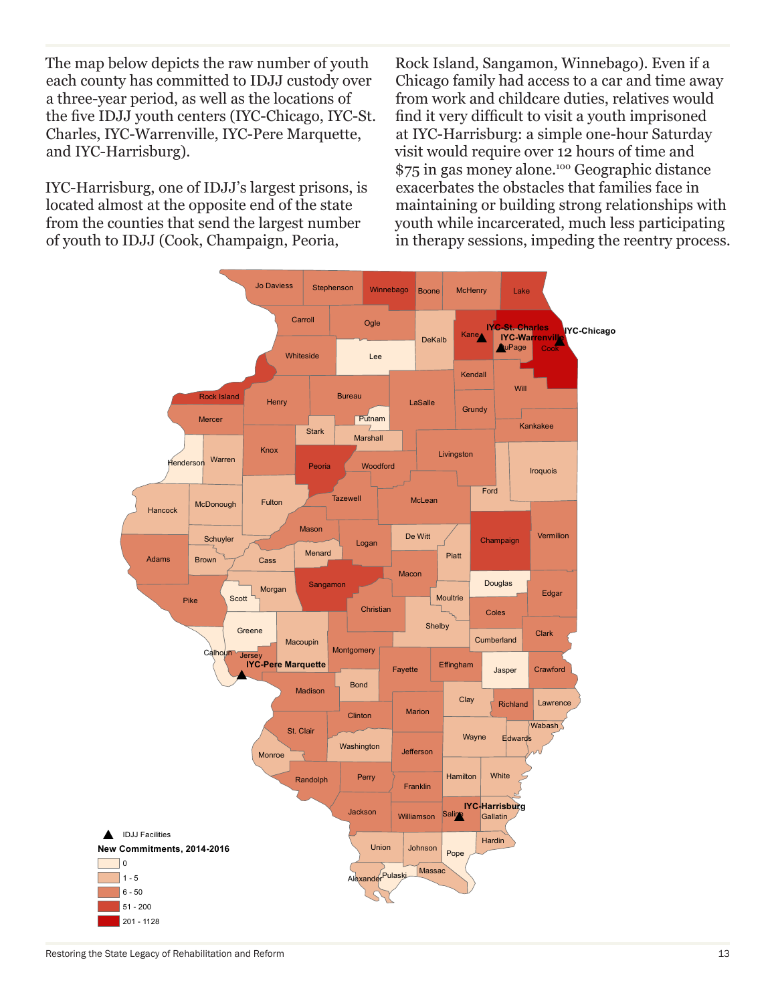The map below depicts the raw number of youth each county has committed to IDJJ custody over a three-year period, as well as the locations of the five IDJJ youth centers (IYC-Chicago, IYC-St. Charles, IYC-Warrenville, IYC-Pere Marquette, and IYC-Harrisburg).

IYC-Harrisburg, one of IDJJ's largest prisons, is located almost at the opposite end of the state from the counties that send the largest number of youth to IDJJ (Cook, Champaign, Peoria,

Rock Island, Sangamon, Winnebago). Even if a Chicago family had access to a car and time away from work and childcare duties, relatives would find it very difficult to visit a youth imprisoned at IYC-Harrisburg: a simple one-hour Saturday visit would require over 12 hours of time and \$75 in gas money alone.100 Geographic distance exacerbates the obstacles that families face in maintaining or building strong relationships with youth while incarcerated, much less participating in therapy sessions, impeding the reentry process.



Restoring the State Legacy of Rehabilitation and Reform 13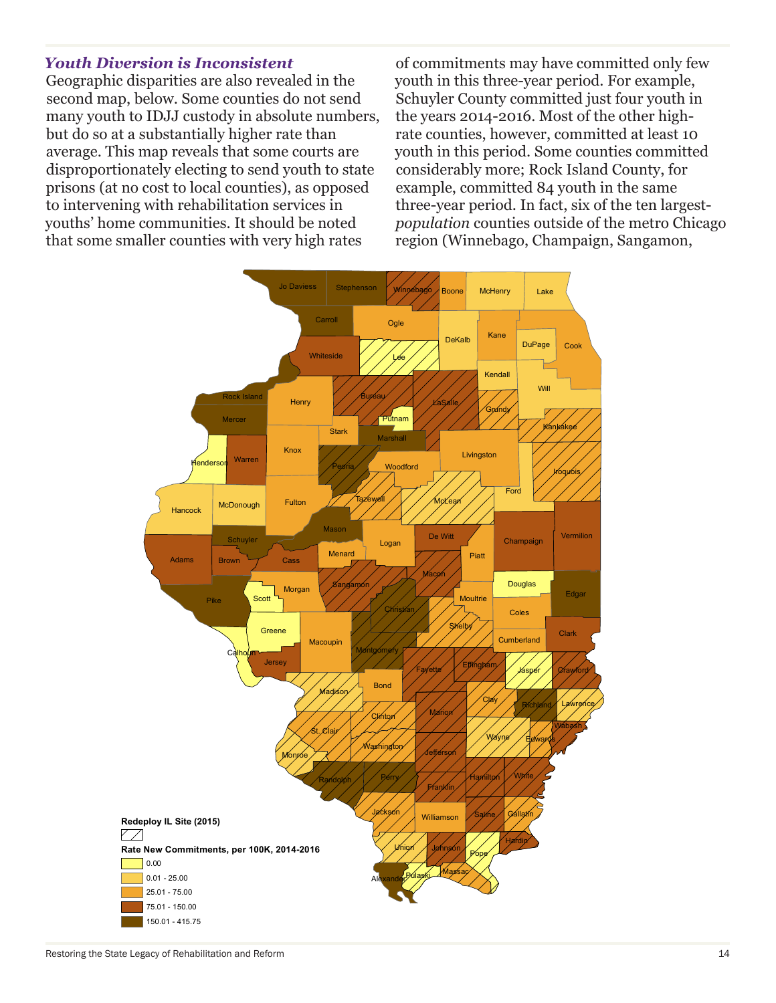#### *Youth Diversion is Inconsistent*

Geographic disparities are also revealed in the second map, below. Some counties do not send many youth to IDJJ custody in absolute numbers, but do so at a substantially higher rate than average. This map reveals that some courts are disproportionately electing to send youth to state prisons (at no cost to local counties), as opposed to intervening with rehabilitation services in youths' home communities. It should be noted that some smaller counties with very high rates

of commitments may have committed only few youth in this three-year period. For example, Schuyler County committed just four youth in the years 2014-2016. Most of the other highrate counties, however, committed at least 10 youth in this period. Some counties committed considerably more; Rock Island County, for example, committed 84 youth in the same three-year period. In fact, six of the ten largest*population* counties outside of the metro Chicago region (Winnebago, Champaign, Sangamon,

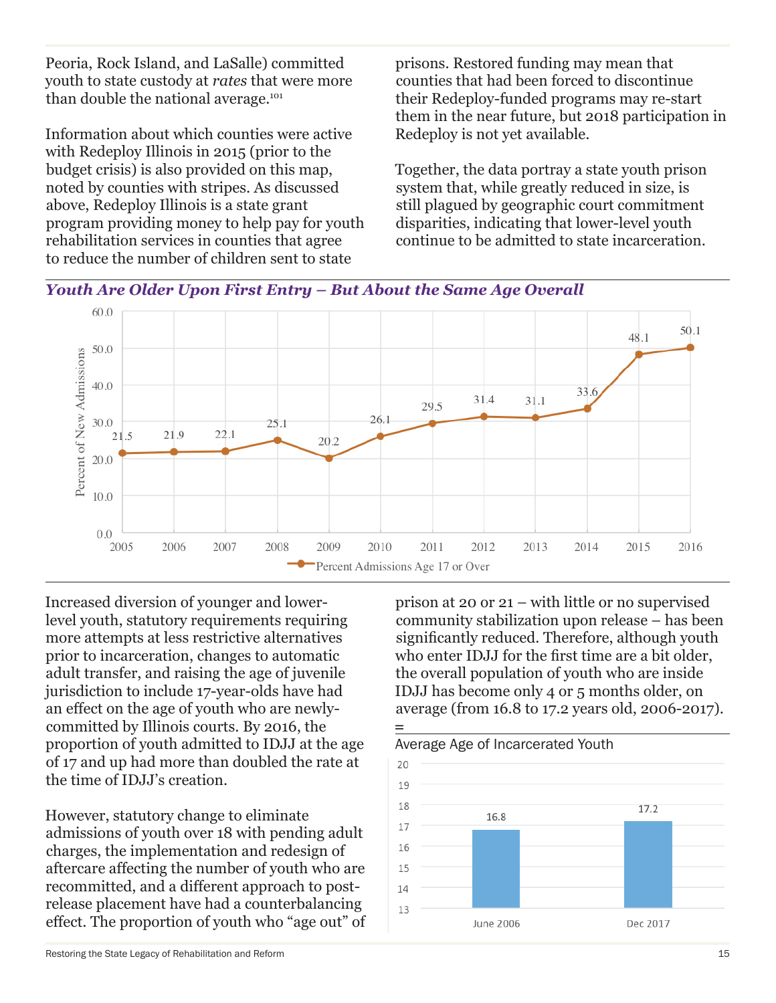Peoria, Rock Island, and LaSalle) committed youth to state custody at *rates* that were more than double the national average.<sup>101</sup>

Information about which counties were active with Redeploy Illinois in 2015 (prior to the budget crisis) is also provided on this map, noted by counties with stripes. As discussed above, Redeploy Illinois is a state grant program providing money to help pay for youth rehabilitation services in counties that agree to reduce the number of children sent to state

prisons. Restored funding may mean that counties that had been forced to discontinue their Redeploy-funded programs may re-start them in the near future, but 2018 participation in Redeploy is not yet available.

Together, the data portray a state youth prison system that, while greatly reduced in size, is still plagued by geographic court commitment disparities, indicating that lower-level youth continue to be admitted to state incarceration.





Increased diversion of younger and lowerlevel youth, statutory requirements requiring more attempts at less restrictive alternatives prior to incarceration, changes to automatic adult transfer, and raising the age of juvenile jurisdiction to include 17-year-olds have had an effect on the age of youth who are newlycommitted by Illinois courts. By 2016, the proportion of youth admitted to IDJJ at the age of 17 and up had more than doubled the rate at the time of IDJJ's creation.

However, statutory change to eliminate admissions of youth over 18 with pending adult charges, the implementation and redesign of aftercare affecting the number of youth who are recommitted, and a different approach to postrelease placement have had a counterbalancing effect. The proportion of youth who "age out" of

prison at 20 or 21 – with little or no supervised community stabilization upon release – has been significantly reduced. Therefore, although youth who enter IDJJ for the first time are a bit older, the overall population of youth who are inside IDJJ has become only 4 or 5 months older, on average (from 16.8 to 17.2 years old, 2006-2017).

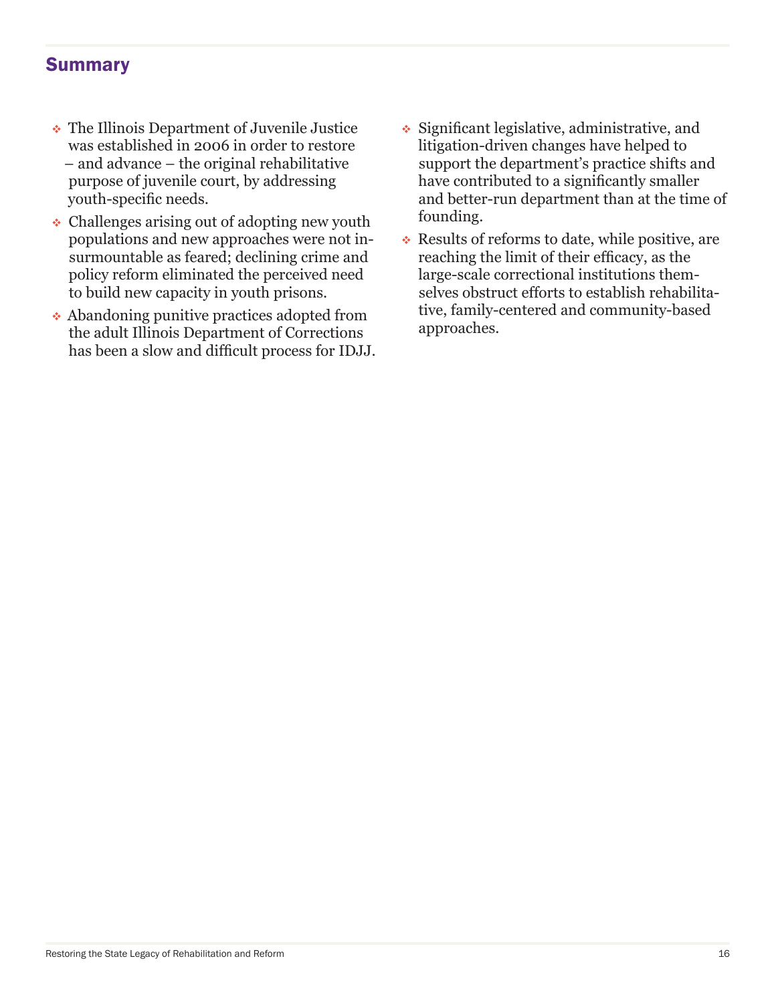## Summary

- The Illinois Department of Juvenile Justice was established in 2006 in order to restore – and advance – the original rehabilitative purpose of juvenile court, by addressing youth-specific needs.
- Challenges arising out of adopting new youth populations and new approaches were not insurmountable as feared; declining crime and policy reform eliminated the perceived need to build new capacity in youth prisons.
- Abandoning punitive practices adopted from the adult Illinois Department of Corrections has been a slow and difficult process for IDJJ.
- Significant legislative, administrative, and litigation-driven changes have helped to support the department's practice shifts and have contributed to a significantly smaller and better-run department than at the time of founding.
- $\cdot$  Results of reforms to date, while positive, are reaching the limit of their efficacy, as the large-scale correctional institutions themselves obstruct efforts to establish rehabilitative, family-centered and community-based approaches.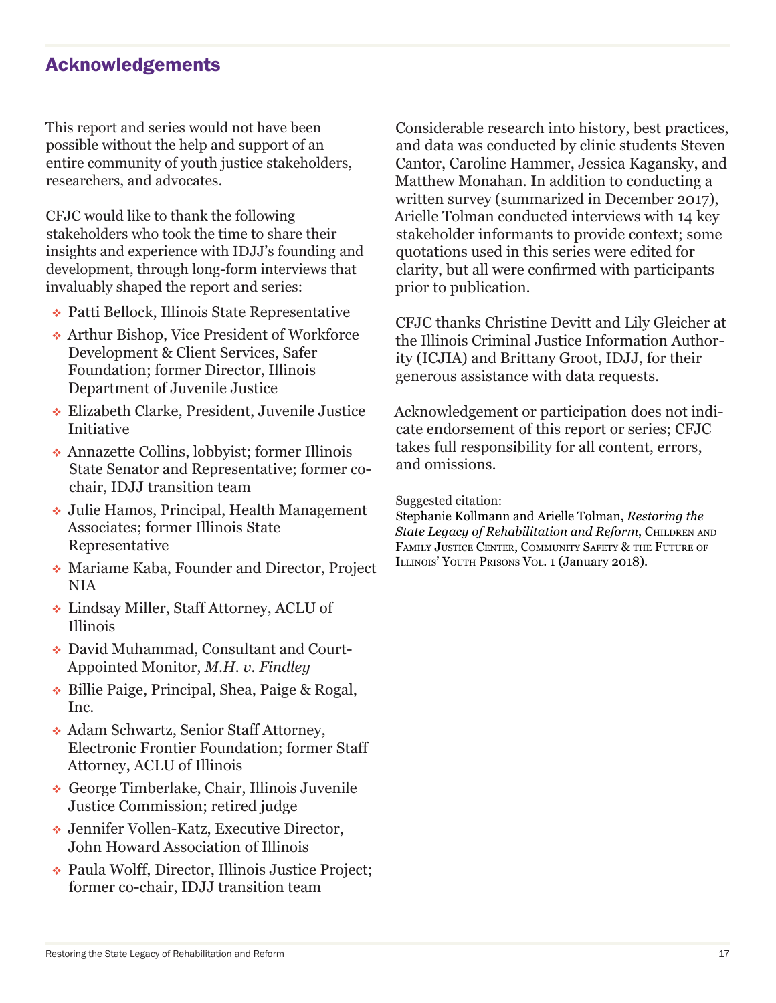## Acknowledgements

This report and series would not have been possible without the help and support of an entire community of youth justice stakeholders, researchers, and advocates.

CFJC would like to thank the following stakeholders who took the time to share their insights and experience with IDJJ's founding and development, through long-form interviews that invaluably shaped the report and series:

- Patti Bellock, Illinois State Representative
- Arthur Bishop, Vice President of Workforce Development & Client Services, Safer Foundation; former Director, Illinois Department of Juvenile Justice
- Elizabeth Clarke, President, Juvenile Justice **Initiative**
- Annazette Collins, lobbyist; former Illinois State Senator and Representative; former cochair, IDJJ transition team
- Julie Hamos, Principal, Health Management Associates; former Illinois State Representative
- Mariame Kaba, Founder and Director, Project NIA
- Lindsay Miller, Staff Attorney, ACLU of Illinois
- David Muhammad, Consultant and Court-Appointed Monitor, *M.H. v. Findley*
- Billie Paige, Principal, Shea, Paige & Rogal, Inc.
- Adam Schwartz, Senior Staff Attorney, Electronic Frontier Foundation; former Staff Attorney, ACLU of Illinois
- George Timberlake, Chair, Illinois Juvenile Justice Commission; retired judge
- Jennifer Vollen-Katz, Executive Director, John Howard Association of Illinois
- Paula Wolff, Director, Illinois Justice Project; former co-chair, IDJJ transition team

Considerable research into history, best practices, and data was conducted by clinic students Steven Cantor, Caroline Hammer, Jessica Kagansky, and Matthew Monahan. In addition to conducting a written survey (summarized in December 2017), Arielle Tolman conducted interviews with 14 key stakeholder informants to provide context; some quotations used in this series were edited for clarity, but all were confirmed with participants prior to publication.

CFJC thanks Christine Devitt and Lily Gleicher at the Illinois Criminal Justice Information Authority (ICJIA) and Brittany Groot, IDJJ, for their generous assistance with data requests.

Acknowledgement or participation does not indicate endorsement of this report or series; CFJC takes full responsibility for all content, errors, and omissions.

Suggested citation:

Stephanie Kollmann and Arielle Tolman, *Restoring the State Legacy of Rehabilitation and Reform, CHILDREN AND* FAMILY JUSTICE CENTER, COMMUNITY SAFETY & THE FUTURE OF Illinois' Youth Prisons Vol. 1 (January 2018).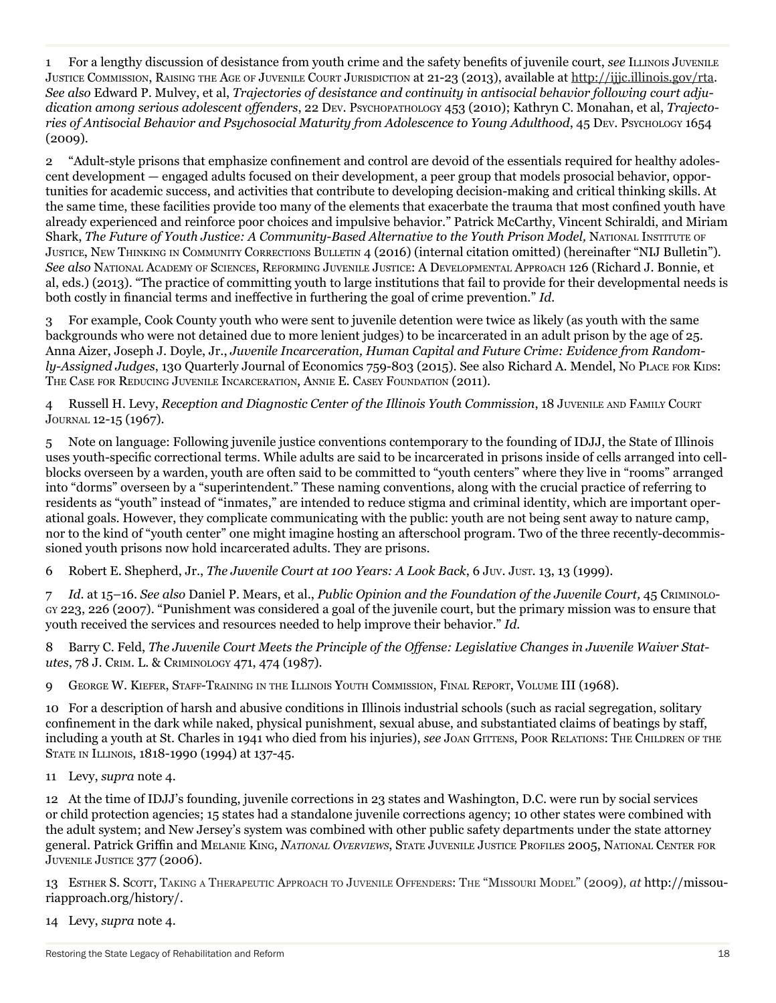1 For a lengthy discussion of desistance from youth crime and the safety benefits of juvenile court, *see* Illinois Juvenile Justice Commission, Raising the Age of Juvenile Court Jurisdiction at 21-23 (2013), available at http://ijjc.illinois.gov/rta. *See also* Edward P. Mulvey, et al, *Trajectories of desistance and continuity in antisocial behavior following court adjudication among serious adolescent offenders*, 22 Dev. Psychopathology 453 (2010); Kathryn C. Monahan, et al, *Trajectories of Antisocial Behavior and Psychosocial Maturity from Adolescence to Young Adulthood*, 45 Dev. Psychology 1654 (2009).

2 "Adult-style prisons that emphasize confinement and control are devoid of the essentials required for healthy adolescent development — engaged adults focused on their development, a peer group that models prosocial behavior, opportunities for academic success, and activities that contribute to developing decision-making and critical thinking skills. At the same time, these facilities provide too many of the elements that exacerbate the trauma that most confined youth have already experienced and reinforce poor choices and impulsive behavior." Patrick McCarthy, Vincent Schiraldi, and Miriam Shark, *The Future of Youth Justice: A Community-Based Alternative to the Youth Prison Model*, NATIONAL INSTITUTE OF Justice, New Thinking in Community Corrections Bulletin 4 (2016) (internal citation omitted) (hereinafter "NIJ Bulletin"). *See also* National Academy of Sciences, Reforming Juvenile Justice: A Developmental Approach 126 (Richard J. Bonnie, et al, eds.) (2013). "The practice of committing youth to large institutions that fail to provide for their developmental needs is both costly in financial terms and ineffective in furthering the goal of crime prevention." *Id.*

3 For example, Cook County youth who were sent to juvenile detention were twice as likely (as youth with the same backgrounds who were not detained due to more lenient judges) to be incarcerated in an adult prison by the age of 25. Anna Aizer, Joseph J. Doyle, Jr., *Juvenile Incarceration, Human Capital and Future Crime: Evidence from Randomly-Assigned Judges*, 130 Quarterly Journal of Economics 759-803 (2015). See also Richard A. Mendel, No PLACE FOR KIDS: The Case for Reducing Juvenile Incarceration, Annie E. Casey Foundation (2011).

4 Russell H. Levy, *Reception and Diagnostic Center of the Illinois Youth Commission*, 18 Juvenile and Family Court Journal 12-15 (1967).

5 Note on language: Following juvenile justice conventions contemporary to the founding of IDJJ, the State of Illinois uses youth-specific correctional terms. While adults are said to be incarcerated in prisons inside of cells arranged into cellblocks overseen by a warden, youth are often said to be committed to "youth centers" where they live in "rooms" arranged into "dorms" overseen by a "superintendent." These naming conventions, along with the crucial practice of referring to residents as "youth" instead of "inmates," are intended to reduce stigma and criminal identity, which are important operational goals. However, they complicate communicating with the public: youth are not being sent away to nature camp, nor to the kind of "youth center" one might imagine hosting an afterschool program. Two of the three recently-decommissioned youth prisons now hold incarcerated adults. They are prisons.

6 Robert E. Shepherd, Jr., *The Juvenile Court at 100 Years: A Look Back*, 6 Juv. Just. 13, 13 (1999).

7 *Id.* at 15–16. *See also* Daniel P. Mears, et al., *Public Opinion and the Foundation of the Juvenile Court,* 45 Criminology 223, 226 (2007). "Punishment was considered a goal of the juvenile court, but the primary mission was to ensure that youth received the services and resources needed to help improve their behavior." *Id.* 

8 Barry C. Feld, *The Juvenile Court Meets the Principle of the Offense: Legislative Changes in Juvenile Waiver Statutes*, 78 J. Crim. L. & Criminology 471, 474 (1987).

9 George W. Kiefer, Staff-Training in the Illinois Youth Commission, Final Report, Volume III (1968).

10 For a description of harsh and abusive conditions in Illinois industrial schools (such as racial segregation, solitary confinement in the dark while naked, physical punishment, sexual abuse, and substantiated claims of beatings by staff, including a youth at St. Charles in 1941 who died from his injuries), *see* JOAN GITTENS, POOR RELATIONS: THE CHILDREN OF THE State in Illinois, 1818-1990 (1994) at 137-45.

11 Levy, *supra* note 4.

12 At the time of IDJJ's founding, juvenile corrections in 23 states and Washington, D.C. were run by social services or child protection agencies; 15 states had a standalone juvenile corrections agency; 10 other states were combined with the adult system; and New Jersey's system was combined with other public safety departments under the state attorney general. Patrick Griffin and Melanie King, *National Overviews*, State Juvenile Justice Profiles 2005, National Center for Juvenile Justice 377 (2006).

13 Esther S. Scott, Taking <sup>a</sup> Therapeutic Approach to Juvenile Offenders: The "Missouri Model" (2009)*, at* http://missouriapproach.org/history/.

14 Levy, *supra* note 4.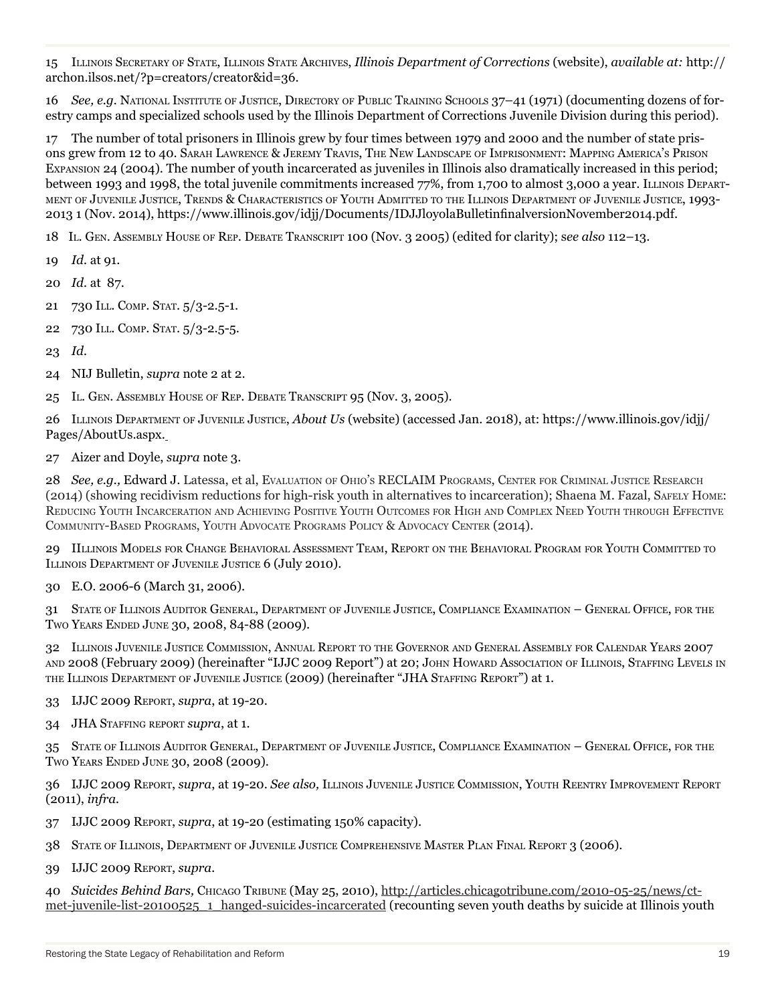15 Illinois Secretary of State, Illinois State Archives, *Illinois Department of Corrections* (website), *available at:* http:// archon.ilsos.net/?p=creators/creator&id=36.

16 *See, e.g.* National Institute of Justice, Directory of Public Training Schools 37–41 (1971) (documenting dozens of forestry camps and specialized schools used by the Illinois Department of Corrections Juvenile Division during this period).

17 The number of total prisoners in Illinois grew by four times between 1979 and 2000 and the number of state prisons grew from 12 to 40. Sarah Lawrence & Jeremy Travis, The New Landscape of Imprisonment: Mapping America's Prison Expansion 24 (2004). The number of youth incarcerated as juveniles in Illinois also dramatically increased in this period; between 1993 and 1998, the total juvenile commitments increased 77%, from 1,700 to almost 3,000 a year. ILLINOIS DEPARTment of Juvenile Justice, Trends & Characteristics of Youth Admitted to the Illinois Department of Juvenile Justice, 1993- 2013 1 (Nov. 2014), https://www.illinois.gov/idjj/Documents/IDJJloyolaBulletinfinalversionNovember2014.pdf.

18 Il. Gen. Assembly House of Rep. Debate Transcript 100 (Nov. 3 2005) (edited for clarity); s*ee also* 112–13.

- 19 *Id.* at 91.
- 20 *Id.* at 87.
- 21 730 ILL. COMP. STAT. 5/3-2.5-1.
- 22 730 ILL. COMP. STAT. 5/3-2.5-5.
- 23 *Id.*
- 24 NIJ Bulletin, *supra* note 2 at 2.
- 25 IL. GEN. ASSEMBLY HOUSE OF REP. DEBATE TRANSCRIPT 95 (NOV. 3, 2005).

26 Illinois Department of Juvenile Justice, *About Us* (website) (accessed Jan. 2018), at: https://www.illinois.gov/idjj/ Pages/AboutUs.aspx.

27 Aizer and Doyle, *supra* note 3.

28 *See, e.g.,* Edward J. Latessa, et al, Evaluation of Ohio's RECLAIM Programs, Center for Criminal Justice Research (2014) (showing recidivism reductions for high-risk youth in alternatives to incarceration); Shaena M. Fazal, Safely Home: Reducing Youth Incarceration and Achieving Positive Youth Outcomes for High and Complex Need Youth through Effective Community-Based Programs, Youth Advocate Programs Policy & Advocacy Center (2014).

29 IIllinois Models for Change Behavioral Assessment Team, Report on the Behavioral Program for Youth Committed to ILLINOIS DEPARTMENT OF JUVENILE JUSTICE 6 (July 2010).

30 E.O. 2006-6 (March 31, 2006).

31 State of Illinois Auditor General, Department of Juvenile Justice, Compliance Examination – General Office, for the Two Years Ended June 30, 2008, 84-88 (2009).

32 Illinois Juvenile Justice Commission, Annual Report to the Governor and General Assembly for Calendar Years 2007 and 2008 (February 2009) (hereinafter "IJJC 2009 Report") at 20; John Howard Association of Illinois, Staffing Levels in the Illinois Department of Juvenile Justice (2009) (hereinafter "JHA Staffing Report") at 1.

33 IJJC 2009 Report, *supra*, at 19-20.

34 JHA Staffing report *supra*, at 1.

35 State of Illinois Auditor General, Department of Juvenile Justice, Compliance Examination – General Office, for the Two Years Ended June 30, 2008 (2009).

36 IJJC 2009 Report, *supra*, at 19-20. *See also,* Illinois Juvenile Justice Commission, Youth Reentry Improvement Report (2011), *infra.*

- 37 IJJC 2009 Report, *supra*, at 19-20 (estimating 150% capacity).
- 38 State of Illinois, Department of Juvenile Justice Comprehensive Master Plan Final Report 3 (2006).
- 39 IJJC 2009 Report, *supra.*

40 *Suicides Behind Bars,* Chicago Tribune (May 25, 2010), http://articles.chicagotribune.com/2010-05-25/news/ctmet-juvenile-list-20100525\_1\_hanged-suicides-incarcerated (recounting seven youth deaths by suicide at Illinois youth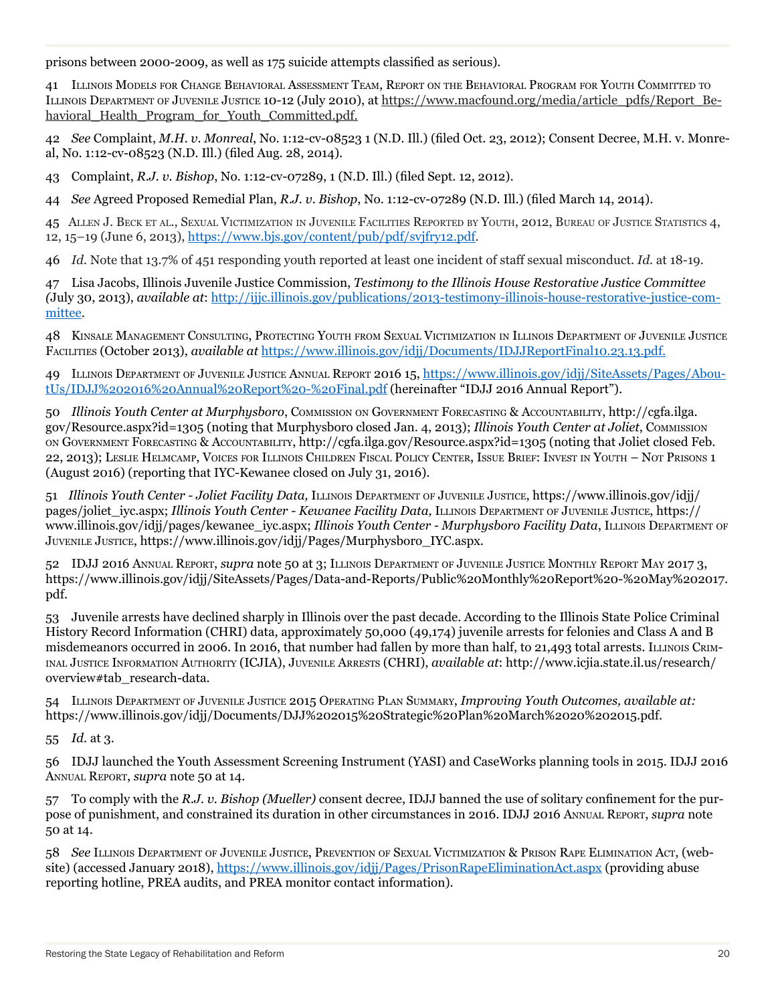prisons between 2000-2009, as well as 175 suicide attempts classified as serious)*.*

41 Illinois Models for Change Behavioral Assessment Team, Report on the Behavioral Program for Youth Committed to Illinois Department of Juvenile Justice 10-12 (July 2010), at https://www.macfound.org/media/article\_pdfs/Report\_Behavioral Health Program for Youth Committed.pdf.

42 *See* Complaint, *M.H. v. Monreal*, No. 1:12-cv-08523 1 (N.D. Ill.) (filed Oct. 23, 2012); Consent Decree, M.H. v. Monreal, No. 1:12-cv-08523 (N.D. Ill.) (filed Aug. 28, 2014).

43 Complaint, *R.J. v. Bishop*, No. 1:12-cv-07289, 1 (N.D. Ill.) (filed Sept. 12, 2012).

44 *See* Agreed Proposed Remedial Plan, *R.J. v. Bishop*, No. 1:12-cv-07289 (N.D. Ill.) (filed March 14, 2014).

45 Allen J. Beck et al., Sexual Victimization in Juvenile Facilities Reported by Youth, 2012, Bureau of Justice Statistics 4, 12, 15–19 (June 6, 2013), https://www.bjs.gov/content/pub/pdf/svjfry12.pdf.

46 *Id.* Note that 13.7% of 451 responding youth reported at least one incident of staff sexual misconduct. *Id.* at 18-19.

47 Lisa Jacobs, Illinois Juvenile Justice Commission, *Testimony to the Illinois House Restorative Justice Committee (*July 30, 2013), *available at*: http://ijjc.illinois.gov/publications/2013-testimony-illinois-house-restorative-justice-committee.

48 Kinsale Management Consulting, Protecting Youth from Sexual Victimization in Illinois Department of Juvenile Justice Facilities (October 2013), *available at* https://www.illinois.gov/idjj/Documents/IDJJReportFinal10.23.13.pdf.

49 Illinois Department of Juvenile Justice Annual Report 2016 15, https://www.illinois.gov/idjj/SiteAssets/Pages/AboutUs/IDJJ%202016%20Annual%20Report%20-%20Final.pdf (hereinafter "IDJJ 2016 Annual Report").

50 *Illinois Youth Center at Murphysboro*, Commission on Government Forecasting & Accountability, http://cgfa.ilga. gov/Resource.aspx?id=1305 (noting that Murphysboro closed Jan. 4, 2013); *Illinois Youth Center at Joliet*, Commission on Government Forecasting & Accountability, http://cgfa.ilga.gov/Resource.aspx?id=1305 (noting that Joliet closed Feb. 22, 2013); Leslie Helmcamp, Voices for Illinois Children Fiscal Policy Center, Issue Brief: Invest in Youth – Not Prisons 1 (August 2016) (reporting that IYC-Kewanee closed on July 31, 2016).

51 *Illinois Youth Center - Joliet Facility Data,* Illinois Department of Juvenile Justice, https://www.illinois.gov/idjj/ pages/joliet\_iyc.aspx; *Illinois Youth Center - Kewanee Facility Data,* Illinois Department of Juvenile Justice, https:// www.illinois.gov/idjj/pages/kewanee\_iyc.aspx; *Illinois Youth Center - Murphysboro Facility Data*, ILLINOIS DEPARTMENT OF Juvenile Justice, https://www.illinois.gov/idjj/Pages/Murphysboro\_IYC.aspx.

52 IDJJ 2016 Annual Report, *supra* note 50 at 3; Illinois Department of Juvenile Justice Monthly Report May 2017 3, https://www.illinois.gov/idjj/SiteAssets/Pages/Data-and-Reports/Public%20Monthly%20Report%20-%20May%202017. pdf.

53 Juvenile arrests have declined sharply in Illinois over the past decade. According to the Illinois State Police Criminal History Record Information (CHRI) data, approximately 50,000 (49,174) juvenile arrests for felonies and Class A and B misdemeanors occurred in 2006. In 2016, that number had fallen by more than half, to 21,493 total arrests. ILLINOIS CRIMinal Justice Information Authority (ICJIA), Juvenile Arrests (CHRI), *available at*: http://www.icjia.state.il.us/research/ overview#tab\_research-data.

54 Illinois Department of Juvenile Justice 2015 Operating Plan Summary, *Improving Youth Outcomes, available at:*  https://www.illinois.gov/idjj/Documents/DJJ%202015%20Strategic%20Plan%20March%2020%202015.pdf.

55 *Id.* at 3.

56 IDJJ launched the Youth Assessment Screening Instrument (YASI) and CaseWorks planning tools in 2015. IDJJ 2016 Annual Report, *supra* note 50 at 14.

57 To comply with the *R.J. v. Bishop (Mueller)* consent decree, IDJJ banned the use of solitary confinement for the purpose of punishment, and constrained its duration in other circumstances in 2016. IDJJ 2016 Annual Report, *supra* note 50 at 14.

58 *See* Illinois Department of Juvenile Justice, Prevention of Sexual Victimization & Prison Rape Elimination Act, (website) (accessed January 2018), https://www.illinois.gov/idjj/Pages/PrisonRapeEliminationAct.aspx (providing abuse reporting hotline, PREA audits, and PREA monitor contact information).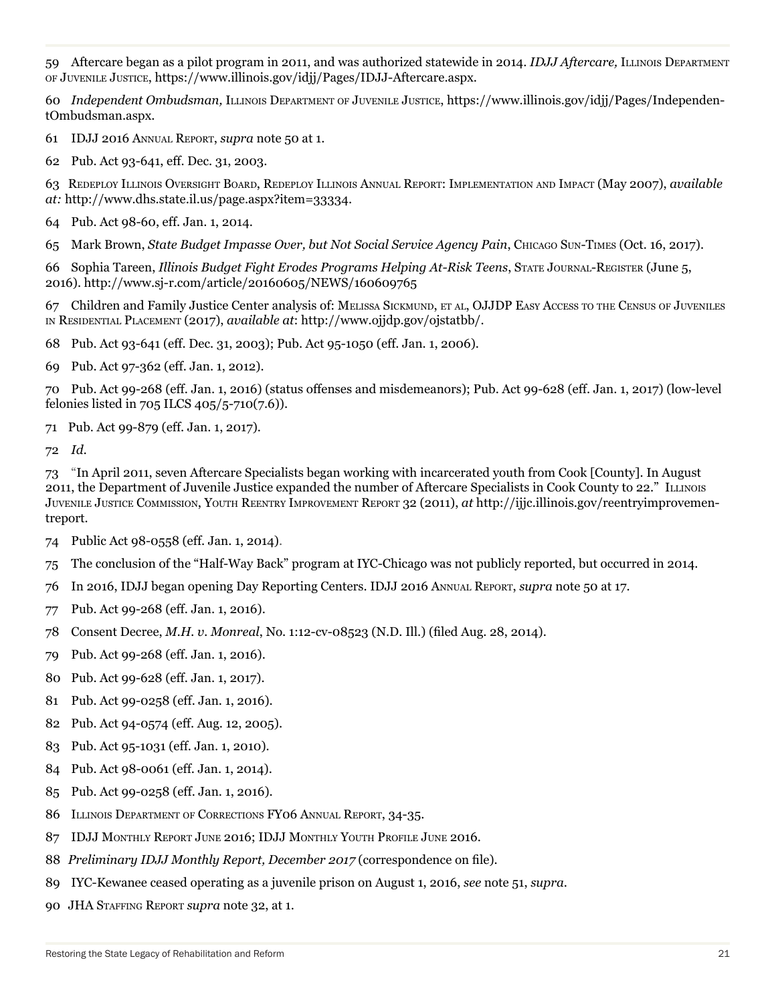59 Aftercare began as a pilot program in 2011, and was authorized statewide in 2014. *IDJJ Aftercare,* Illinois Department of Juvenile Justice, https://www.illinois.gov/idjj/Pages/IDJJ-Aftercare.aspx.

60 *Independent Ombudsman,* Illinois Department of Juvenile Justice, https://www.illinois.gov/idjj/Pages/IndependentOmbudsman.aspx.

61 IDJJ 2016 Annual Report, *supra* note 50 at 1.

62 Pub. Act 93-641, eff. Dec. 31, 2003.

63 Redeploy Illinois Oversight Board, Redeploy Illinois Annual Report: Implementation and Impact (May 2007), *available at:* http://www.dhs.state.il.us/page.aspx?item=33334.

64 Pub. Act 98-60, eff. Jan. 1, 2014.

65 Mark Brown, *State Budget Impasse Over, but Not Social Service Agency Pain*, Chicago Sun-Times (Oct. 16, 2017).

66 Sophia Tareen, *Illinois Budget Fight Erodes Programs Helping At-Risk Teens*, State Journal-Register (June 5, 2016). http://www.sj-r.com/article/20160605/NEWS/160609765

67 Children and Family Justice Center analysis of: Melissa Sickmund, et al, OJJDP Easy Access to the Census of Juveniles in Residential Placement (2017), *available at*: http://www.ojjdp.gov/ojstatbb/.

68 Pub. Act 93-641 (eff. Dec. 31, 2003); Pub. Act 95-1050 (eff. Jan. 1, 2006).

69 Pub. Act 97-362 (eff. Jan. 1, 2012).

70 Pub. Act 99-268 (eff. Jan. 1, 2016) (status offenses and misdemeanors); Pub. Act 99-628 (eff. Jan. 1, 2017) (low-level felonies listed in 705 ILCS 405/5-710(7.6)).

71 Pub. Act 99-879 (eff. Jan. 1, 2017).

72 *Id.*

73 "In April 2011, seven Aftercare Specialists began working with incarcerated youth from Cook [County]. In August 2011, the Department of Juvenile Justice expanded the number of Aftercare Specialists in Cook County to 22." Illinois Juvenile Justice Commission, Youth Reentry Improvement Report 32 (2011), *at* http://ijjc.illinois.gov/reentryimprovementreport.

- 74 Public Act 98-0558 (eff. Jan. 1, 2014).
- 75 The conclusion of the "Half-Way Back" program at IYC-Chicago was not publicly reported, but occurred in 2014.
- 76 In 2016, IDJJ began opening Day Reporting Centers. IDJJ 2016 Annual Report, *supra* note 50 at 17.
- 77 Pub. Act 99-268 (eff. Jan. 1, 2016).
- 78 Consent Decree, *M.H. v. Monreal*, No. 1:12-cv-08523 (N.D. Ill.) (filed Aug. 28, 2014).
- 79 Pub. Act 99-268 (eff. Jan. 1, 2016).
- 80 Pub. Act 99-628 (eff. Jan. 1, 2017).
- 81 Pub. Act 99-0258 (eff. Jan. 1, 2016).
- 82 Pub. Act 94-0574 (eff. Aug. 12, 2005).
- 83 Pub. Act 95-1031 (eff. Jan. 1, 2010).
- 84 Pub. Act 98-0061 (eff. Jan. 1, 2014).
- 85 Pub. Act 99-0258 (eff. Jan. 1, 2016).
- 86 Illinois Department of Corrections FY06 Annual Report, 34-35.
- 87 IDJJ Monthly Report June 2016; IDJJ Monthly Youth Profile June 2016.
- 88 *Preliminary IDJJ Monthly Report, December 2017* (correspondence on file).
- 89 IYC-Kewanee ceased operating as a juvenile prison on August 1, 2016, *see* note 51, *supra*.
- 90 JHA Staffing Report *supra* note 32, at 1.